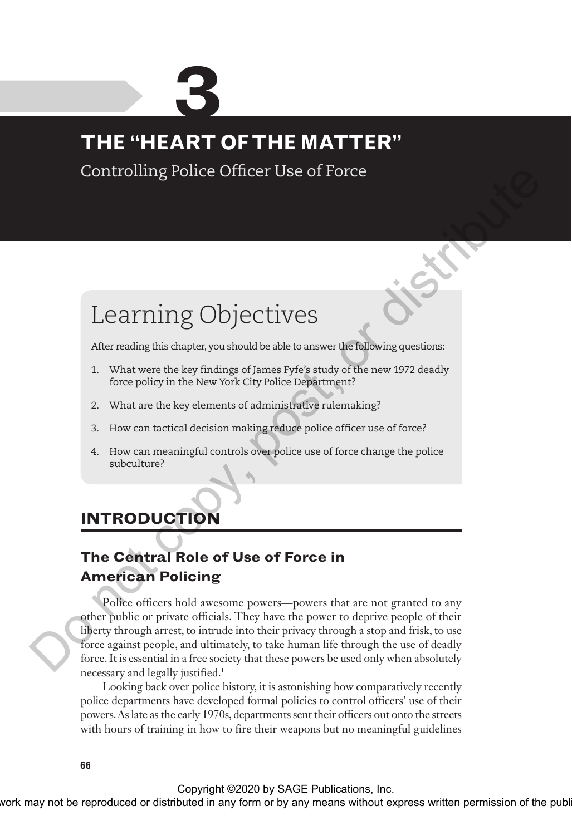# **3**

# **THE "HEART OF THE MATTER"**

Controlling Police Officer Use of Force

# Learning Objectives

After reading this chapter, you should be able to answer the following questions:

- 1. What were the key findings of James Fyfe's study of the new 1972 deadly force policy in the New York City Police Department?
- 2. What are the key elements of administrative rulemaking?
- 3. How can tactical decision making reduce police officer use of force?
- 4. How can meaningful controls over police use of force change the police subculture?

# **INTRODUCTION**

# **The Central Role of Use of Force in American Policing**

Police officers hold awesome powers—powers that are not granted to any other public or private officials. They have the power to deprive people of their liberty through arrest, to intrude into their privacy through a stop and frisk, to use force against people, and ultimately, to take human life through the use of deadly force. It is essential in a free society that these powers be used only when absolutely necessary and legally justified.<sup>1</sup> Controlling Poince Officer Use of Force<br>
Merrealing this chapter, you should be able to answer the following questions<br>  $\frac{1}{2}$ . What were the key finding of June 2 berg stady of the respect of the Rey finding of June P

Looking back over police history, it is astonishing how comparatively recently police departments have developed formal policies to control officers' use of their powers. As late as the early 1970s, departments sent their officers out onto the streets with hours of training in how to fire their weapons but no meaningful guidelines

Copyright ©2020 by SAGE Publications, Inc.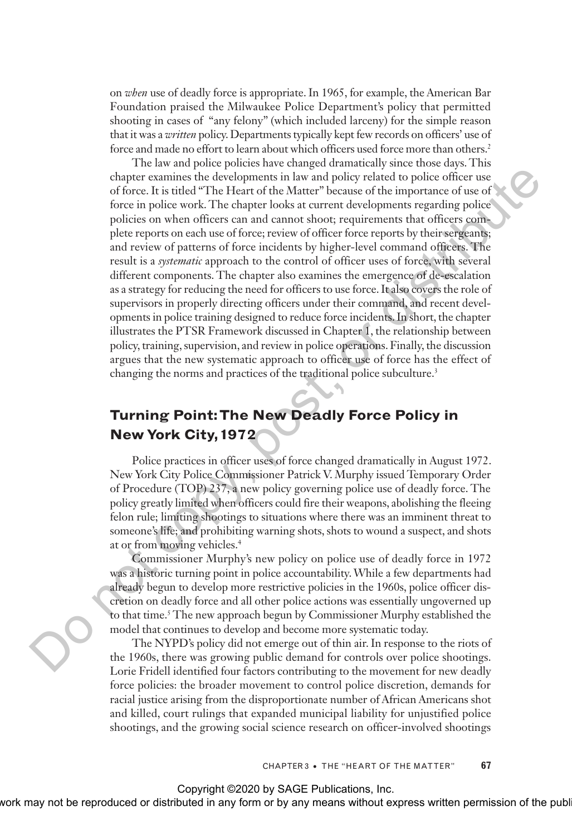on *when* use of deadly force is appropriate. In 1965, for example, the American Bar Foundation praised the Milwaukee Police Department's policy that permitted shooting in cases of "any felony" (which included larceny) for the simple reason that it was a *written* policy. Departments typically kept few records on officers' use of force and made no effort to learn about which officers used force more than others.<sup>2</sup>

The law and police policies have changed dramatically since those days. This chapter examines the developments in law and policy related to police officer use of force. It is titled "The Heart of the Matter" because of the importance of use of force in police work. The chapter looks at current developments regarding police policies on when officers can and cannot shoot; requirements that officers complete reports on each use of force; review of officer force reports by their sergeants; and review of patterns of force incidents by higher-level command officers. The result is a *systematic* approach to the control of officer uses of force, with several different components. The chapter also examines the emergence of de-escalation as a strategy for reducing the need for officers to use force. It also covers the role of supervisors in properly directing officers under their command, and recent developments in police training designed to reduce force incidents. In short, the chapter illustrates the PTSR Framework discussed in Chapter 1, the relationship between policy, training, supervision, and review in police operations. Finally, the discussion argues that the new systematic approach to officer use of force has the effect of changing the norms and practices of the traditional police subculture.<sup>3</sup> chapter examines the developments in have and policy related to police officer uses<br>of force. It is ritted "The Heart of the Marter" because of the importance of the offere the model of the state. The chapter looks at cur

# **Turning Point: The New Deadly Force Policy in New York City, 1972**

Police practices in officer uses of force changed dramatically in August 1972. New York City Police Commissioner Patrick V. Murphy issued Temporary Order of Procedure (TOP) 237, a new policy governing police use of deadly force. The policy greatly limited when officers could fire their weapons, abolishing the fleeing felon rule; limiting shootings to situations where there was an imminent threat to someone's life; and prohibiting warning shots, shots to wound a suspect, and shots at or from moving vehicles.4

Commissioner Murphy's new policy on police use of deadly force in 1972 was a historic turning point in police accountability. While a few departments had already begun to develop more restrictive policies in the 1960s, police officer discretion on deadly force and all other police actions was essentially ungoverned up to that time.<sup>5</sup> The new approach begun by Commissioner Murphy established the model that continues to develop and become more systematic today.

The NYPD's policy did not emerge out of thin air. In response to the riots of the 1960s, there was growing public demand for controls over police shootings. Lorie Fridell identified four factors contributing to the movement for new deadly force policies: the broader movement to control police discretion, demands for racial justice arising from the disproportionate number of African Americans shot and killed, court rulings that expanded municipal liability for unjustified police shootings, and the growing social science research on officer-involved shootings



Copyright ©2020 by SAGE Publications, Inc.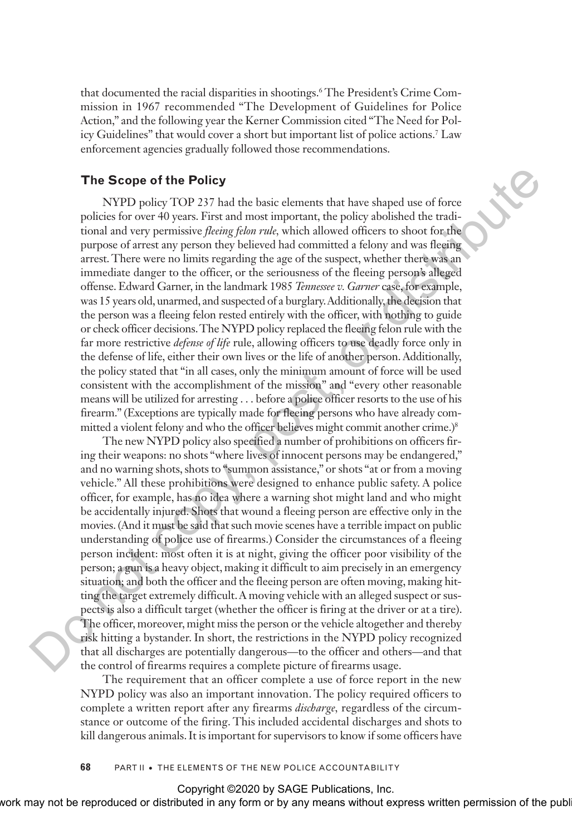that documented the racial disparities in shootings.6 The President's Crime Commission in 1967 recommended "The Development of Guidelines for Police Action," and the following year the Kerner Commission cited "The Need for Policy Guidelines" that would cover a short but important list of police actions.<sup>7</sup> Law enforcement agencies gradually followed those recommendations.

### **The Scope of the Policy**

NYPD policy TOP 237 had the basic elements that have shaped use of force policies for over 40 years. First and most important, the policy abolished the traditional and very permissive *fleeing felon rule,* which allowed officers to shoot for the purpose of arrest any person they believed had committed a felony and was fleeing arrest. There were no limits regarding the age of the suspect, whether there was an immediate danger to the officer, or the seriousness of the fleeing person's alleged offense. Edward Garner, in the landmark 1985 *Tennessee v. Garner* case, for example, was 15 years old, unarmed, and suspected of a burglary. Additionally, the decision that the person was a fleeing felon rested entirely with the officer, with nothing to guide or check officer decisions. The NYPD policy replaced the fleeing felon rule with the far more restrictive *defense of life* rule, allowing officers to use deadly force only in the defense of life, either their own lives or the life of another person. Additionally, the policy stated that "in all cases, only the minimum amount of force will be used consistent with the accomplishment of the mission" and "every other reasonable means will be utilized for arresting . . . before a police officer resorts to the use of his firearm." (Exceptions are typically made for fleeing persons who have already committed a violent felony and who the officer believes might commit another crime.)8 **The Scope of the Policy<br>
NYP policies** for expansion that these simpled use of force<br>
policies for over 40 years. First and most important, the policy aboisoled the tradi-<br>
policies for over 40 years. First and most impo

The new NYPD policy also specified a number of prohibitions on officers firing their weapons: no shots "where lives of innocent persons may be endangered," and no warning shots, shots to "summon assistance," or shots "at or from a moving vehicle." All these prohibitions were designed to enhance public safety. A police officer, for example, has no idea where a warning shot might land and who might be accidentally injured. Shots that wound a fleeing person are effective only in the movies. (And it must be said that such movie scenes have a terrible impact on public understanding of police use of firearms.) Consider the circumstances of a fleeing person incident: most often it is at night, giving the officer poor visibility of the person; a gun is a heavy object, making it difficult to aim precisely in an emergency situation; and both the officer and the fleeing person are often moving, making hitting the target extremely difficult. A moving vehicle with an alleged suspect or suspects is also a difficult target (whether the officer is firing at the driver or at a tire). The officer, moreover, might miss the person or the vehicle altogether and thereby risk hitting a bystander. In short, the restrictions in the NYPD policy recognized that all discharges are potentially dangerous—to the officer and others—and that the control of firearms requires a complete picture of firearms usage.

The requirement that an officer complete a use of force report in the new NYPD policy was also an important innovation. The policy required officers to complete a written report after any firearms *discharge,* regardless of the circumstance or outcome of the firing. This included accidental discharges and shots to kill dangerous animals. It is important for supervisors to know if some officers have

### **68** PART II • THE ELEMENTS OF THE NEW POLICE ACCOUNTABILITY

### Copyright ©2020 by SAGE Publications, Inc.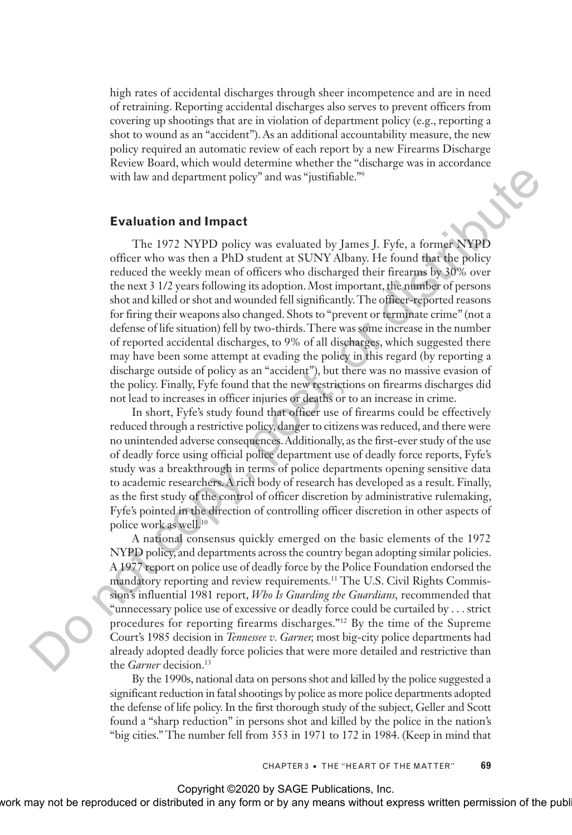high rates of accidental discharges through sheer incompetence and are in need of retraining. Reporting accidental discharges also serves to prevent officers from covering up shootings that are in violation of department policy (e.g., reporting a shot to wound as an "accident"). As an additional accountability measure, the new policy required an automatic review of each report by a new Firearms Discharge Review Board, which would determine whether the "discharge was in accordance with law and department policy" and was "justifiable."9

### **Evaluation and Impact**

The 1972 NYPD policy was evaluated by James J. Fyfe, a former NYPD officer who was then a PhD student at SUNY Albany. He found that the policy reduced the weekly mean of officers who discharged their firearms by 30% over the next 3 1/2 years following its adoption. Most important, the number of persons shot and killed or shot and wounded fell significantly. The officer-reported reasons for firing their weapons also changed. Shots to "prevent or terminate crime" (not a defense of life situation) fell by two-thirds. There was some increase in the number of reported accidental discharges, to 9% of all discharges, which suggested there may have been some attempt at evading the policy in this regard (by reporting a discharge outside of policy as an "accident"), but there was no massive evasion of the policy. Finally, Fyfe found that the new restrictions on firearms discharges did not lead to increases in officer injuries or deaths or to an increase in crime. with law and department policy" and was "justifiable,""<br> **Evaluation and Impact**<br>
The 1972 NYPD policy was evaluated by James J. Fyfe, a former NQPD<br>
officer who was here a PID student at SUNY Albany. He found that the po

In short, Fyfe's study found that officer use of firearms could be effectively reduced through a restrictive policy, danger to citizens was reduced, and there were no unintended adverse consequences. Additionally, as the first-ever study of the use of deadly force using official police department use of deadly force reports, Fyfe's study was a breakthrough in terms of police departments opening sensitive data to academic researchers. A rich body of research has developed as a result. Finally, as the first study of the control of officer discretion by administrative rulemaking, Fyfe's pointed in the direction of controlling officer discretion in other aspects of police work as well.10

A national consensus quickly emerged on the basic elements of the 1972 NYPD policy, and departments across the country began adopting similar policies. A 1977 report on police use of deadly force by the Police Foundation endorsed the mandatory reporting and review requirements.<sup>11</sup> The U.S. Civil Rights Commission's influential 1981 report, *Who Is Guarding the Guardians,* recommended that "unnecessary police use of excessive or deadly force could be curtailed by . . . strict procedures for reporting firearms discharges."12 By the time of the Supreme Court's 1985 decision in *Tennessee v. Garner,* most big-city police departments had already adopted deadly force policies that were more detailed and restrictive than the *Garner* decision.<sup>13</sup>

By the 1990s, national data on persons shot and killed by the police suggested a significant reduction in fatal shootings by police as more police departments adopted the defense of life policy. In the first thorough study of the subject, Geller and Scott found a "sharp reduction" in persons shot and killed by the police in the nation's "big cities." The number fell from 353 in 1971 to 172 in 1984. (Keep in mind that

CHAPTER 3 • THE "HEART OF THE MATTER" **69**

Copyright ©2020 by SAGE Publications, Inc.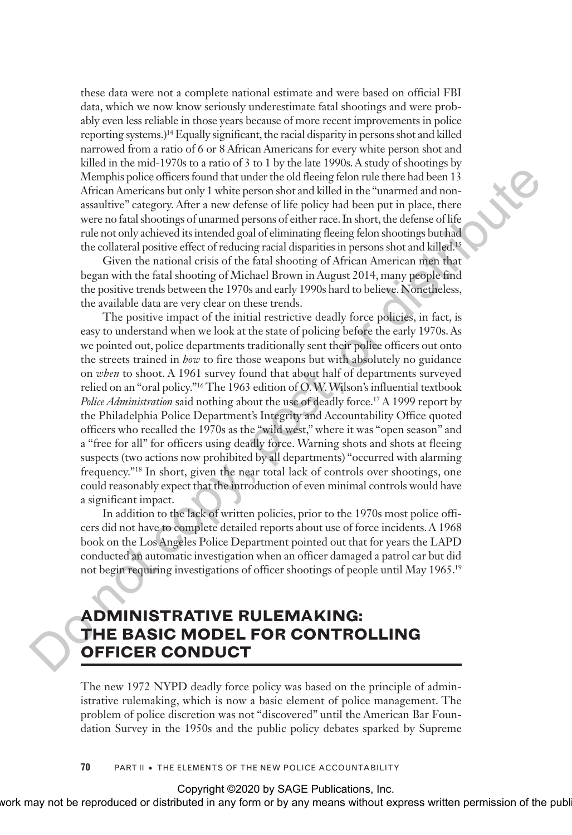these data were not a complete national estimate and were based on official FBI data, which we now know seriously underestimate fatal shootings and were probably even less reliable in those years because of more recent improvements in police reporting systems.)14 Equally significant, the racial disparity in persons shot and killed narrowed from a ratio of 6 or 8 African Americans for every white person shot and killed in the mid-1970s to a ratio of 3 to 1 by the late 1990s. A study of shootings by Memphis police officers found that under the old fleeing felon rule there had been 13 African Americans but only 1 white person shot and killed in the "unarmed and nonassaultive" category. After a new defense of life policy had been put in place, there were no fatal shootings of unarmed persons of either race. In short, the defense of life rule not only achieved its intended goal of eliminating fleeing felon shootings but had the collateral positive effect of reducing racial disparities in persons shot and killed.15

Given the national crisis of the fatal shooting of African American men that began with the fatal shooting of Michael Brown in August 2014, many people find the positive trends between the 1970s and early 1990s hard to believe. Nonetheless, the available data are very clear on these trends.

The positive impact of the initial restrictive deadly force policies, in fact, is easy to understand when we look at the state of policing before the early 1970s. As we pointed out, police departments traditionally sent their police officers out onto the streets trained in *how* to fire those weapons but with absolutely no guidance on *when* to shoot. A 1961 survey found that about half of departments surveyed relied on an "oral policy."16 The 1963 edition of O. W. Wilson's influential textbook *Police Administration* said nothing about the use of deadly force.<sup>17</sup> A 1999 report by the Philadelphia Police Department's Integrity and Accountability Office quoted officers who recalled the 1970s as the "wild west," where it was "open season" and a "free for all" for officers using deadly force. Warning shots and shots at fleeing suspects (two actions now prohibited by all departments) "occurred with alarming frequency."18 In short, given the near total lack of controls over shootings, one could reasonably expect that the introduction of even minimal controls would have a significant impact. Memphis police of fluorest found that under the cold flecture fields of the police fields and continue the control of the policy halo been pair in the system of the system of the policy and the system of the control assoc

In addition to the lack of written policies, prior to the 1970s most police officers did not have to complete detailed reports about use of force incidents. A 1968 book on the Los Angeles Police Department pointed out that for years the LAPD conducted an automatic investigation when an officer damaged a patrol car but did not begin requiring investigations of officer shootings of people until May 1965.19

# **ADMINISTRATIVE RULEMAKING: THE BASIC MODEL FOR CONTROLLING OFFICER CONDUCT**

The new 1972 NYPD deadly force policy was based on the principle of administrative rulemaking, which is now a basic element of police management. The problem of police discretion was not "discovered" until the American Bar Foundation Survey in the 1950s and the public policy debates sparked by Supreme

**70** PART II • THE ELEMENTS OF THE NEW POLICE ACCOUNTABILITY

Copyright ©2020 by SAGE Publications, Inc.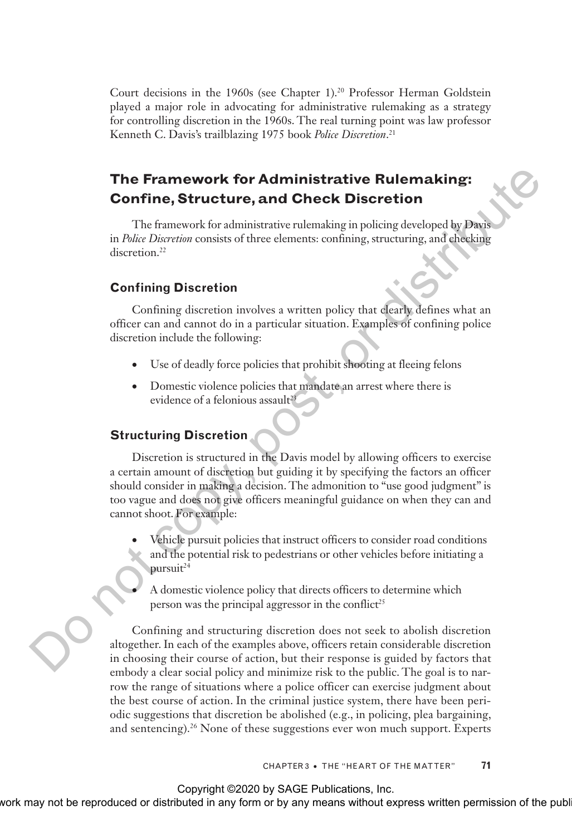Court decisions in the 1960s (see Chapter 1).<sup>20</sup> Professor Herman Goldstein played a major role in advocating for administrative rulemaking as a strategy for controlling discretion in the 1960s. The real turning point was law professor Kenneth C. Davis's trailblazing 1975 book *Police Discretion*. 21

# **The Framework for Administrative Rulemaking: Confine, Structure, and Check Discretion**

The framework for administrative rulemaking in policing developed by Davis in *Police Discretion* consists of three elements: confining, structuring, and checking discretion.<sup>22</sup>

# **Confining Discretion**

Confining discretion involves a written policy that clearly defines what an officer can and cannot do in a particular situation. Examples of confining police discretion include the following:

- Use of deadly force policies that prohibit shooting at fleeing felons
- Domestic violence policies that mandate an arrest where there is evidence of a felonious assault<sup>23</sup>

### **Structuring Discretion**

Discretion is structured in the Davis model by allowing officers to exercise a certain amount of discretion but guiding it by specifying the factors an officer should consider in making a decision. The admonition to "use good judgment" is too vague and does not give officers meaningful guidance on when they can and cannot shoot. For example: **The Framework for Administrative Rulemaking:**<br> **Confine, Structure, and Check Discretion**<br>
The framework for administrative rulemaking in policing developed by Davis<br>
in *Police Discretion* consists of three demenss conf

- Vehicle pursuit policies that instruct officers to consider road conditions and the potential risk to pedestrians or other vehicles before initiating a pursuit $24$ 
	- A domestic violence policy that directs officers to determine which person was the principal aggressor in the conflict<sup>25</sup>

Confining and structuring discretion does not seek to abolish discretion altogether. In each of the examples above, officers retain considerable discretion in choosing their course of action, but their response is guided by factors that embody a clear social policy and minimize risk to the public. The goal is to narrow the range of situations where a police officer can exercise judgment about the best course of action. In the criminal justice system, there have been periodic suggestions that discretion be abolished (e.g., in policing, plea bargaining, and sentencing).<sup>26</sup> None of these suggestions ever won much support. Experts

### Copyright ©2020 by SAGE Publications, Inc.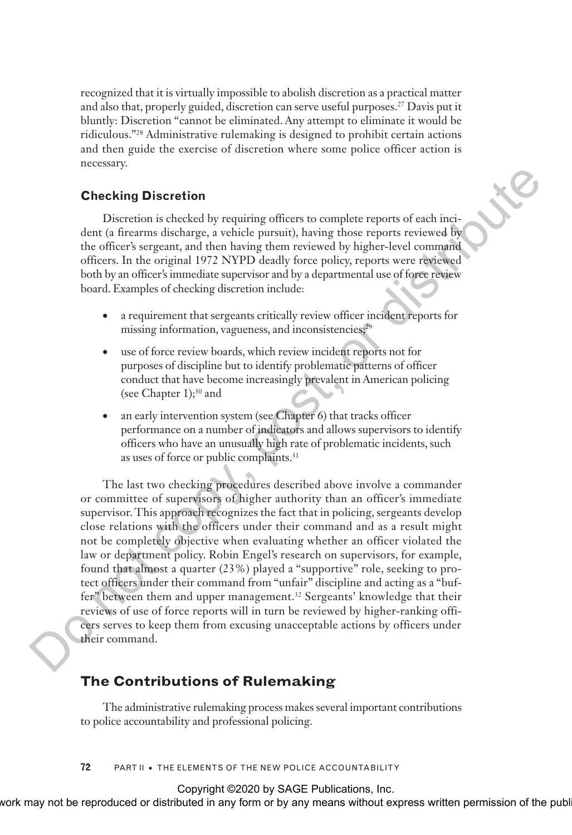recognized that it is virtually impossible to abolish discretion as a practical matter and also that, properly guided, discretion can serve useful purposes.27 Davis put it bluntly: Discretion "cannot be eliminated. Any attempt to eliminate it would be ridiculous."28 Administrative rulemaking is designed to prohibit certain actions and then guide the exercise of discretion where some police officer action is necessary.

# **Checking Discretion**

Discretion is checked by requiring officers to complete reports of each incident (a firearms discharge, a vehicle pursuit), having those reports reviewed by the officer's sergeant, and then having them reviewed by higher-level command officers. In the original 1972 NYPD deadly force policy, reports were reviewed both by an officer's immediate supervisor and by a departmental use of force review board. Examples of checking discretion include:

- a requirement that sergeants critically review officer incident reports for missing information, vagueness, and inconsistencies;<sup>29</sup>
- use of force review boards, which review incident reports not for purposes of discipline but to identify problematic patterns of officer conduct that have become increasingly prevalent in American policing (see Chapter 1);<sup>30</sup> and
- an early intervention system (see Chapter 6) that tracks officer performance on a number of indicators and allows supervisors to identify officers who have an unusually high rate of problematic incidents, such as uses of force or public complaints.<sup>31</sup>

The last two checking procedures described above involve a commander or committee of supervisors of higher authority than an officer's immediate supervisor. This approach recognizes the fact that in policing, sergeants develop close relations with the officers under their command and as a result might not be completely objective when evaluating whether an officer violated the law or department policy. Robin Engel's research on supervisors, for example, found that almost a quarter (23%) played a "supportive" role, seeking to protect officers under their command from "unfair" discipline and acting as a "buffer" between them and upper management.<sup>32</sup> Sergeants' knowledge that their reviews of use of force reports will in turn be reviewed by higher-ranking officers serves to keep them from excusing unacceptable actions by officers under their command. **Checking Discretion**<br>
Discretion is checked by requiring officers to complete reports of each incident;<br>
dent (a firearms using the having them inverse due to thige<br>result the officer's sergennt, and then having them tre

# **The Contributions of Rulemaking**

The administrative rulemaking process makes several important contributions to police accountability and professional policing.

**72** PART II • THE ELEMENTS OF THE NEW POLICE ACCOUNTABILITY

Copyright ©2020 by SAGE Publications, Inc.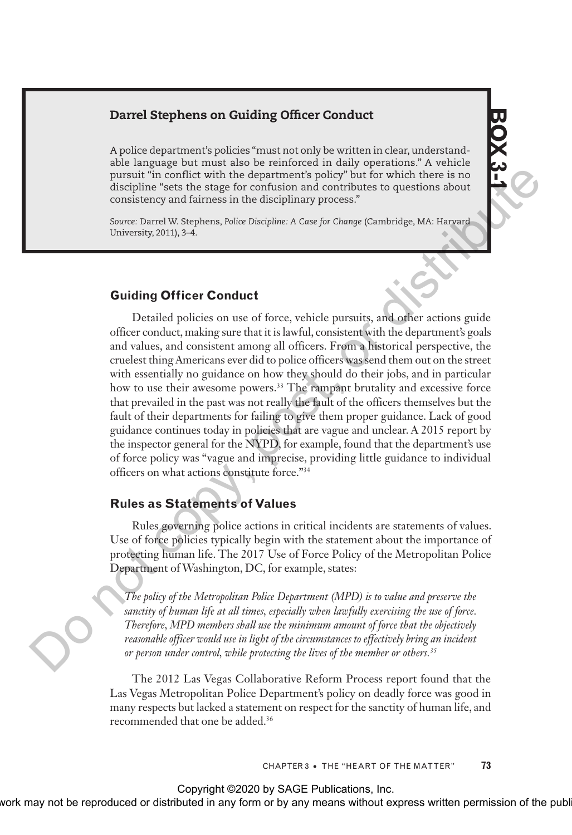## Darrel Stephens on Guiding Officer Conduct

A police department's policies "must not only be written in clear, understandable language but must also be reinforced in daily operations." A vehicle pursuit "in conflict with the department's policy" but for which there is no discipline "sets the stage for confusion and contributes to questions about consistency and fairness in the disciplinary process."

*Source:* Darrel W. Stephens, *Police Discipline: A Case for Change* (Cambridge, MA: Harvard University, 2011), 3–4.

# **BOX 3-1**

### **Guiding Officer Conduct**

Detailed policies on use of force, vehicle pursuits, and other actions guide officer conduct, making sure that it is lawful, consistent with the department's goals and values, and consistent among all officers. From a historical perspective, the cruelest thing Americans ever did to police officers was send them out on the street with essentially no guidance on how they should do their jobs, and in particular how to use their awesome powers.<sup>33</sup> The rampant brutality and excessive force that prevailed in the past was not really the fault of the officers themselves but the fault of their departments for failing to give them proper guidance. Lack of good guidance continues today in policies that are vague and unclear. A 2015 report by the inspector general for the NYPD, for example, found that the department's use of force policy was "vague and imprecise, providing little guidance to individual officers on what actions constitute force."34 pursuit <sup>2</sup> in contribute the departments pointing that of the form which there is no ordinate and contribute to questions about consistency and fairness in the distribution process."<br>
Sure Decisions The analysis of the d

### **Rules as Statements of Values**

Rules governing police actions in critical incidents are statements of values. Use of force policies typically begin with the statement about the importance of protecting human life. The 2017 Use of Force Policy of the Metropolitan Police Department of Washington, DC, for example, states:

*The policy of the Metropolitan Police Department (MPD) is to value and preserve the sanctity of human life at all times, especially when lawfully exercising the use of force. Therefore, MPD members shall use the minimum amount of force that the objectively reasonable officer would use in light of the circumstances to effectively bring an incident or person under control, while protecting the lives of the member or others.35*

The 2012 Las Vegas Collaborative Reform Process report found that the Las Vegas Metropolitan Police Department's policy on deadly force was good in many respects but lacked a statement on respect for the sanctity of human life, and recommended that one be added.36

Copyright ©2020 by SAGE Publications, Inc.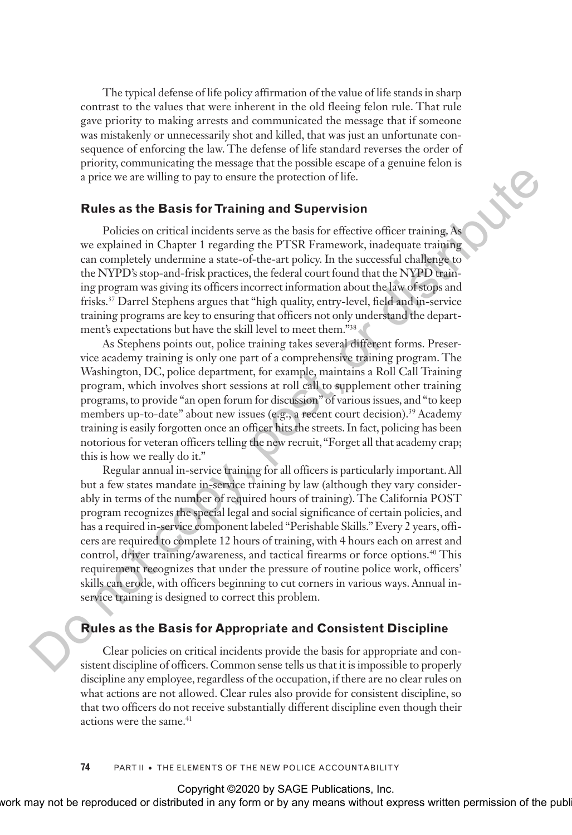The typical defense of life policy affirmation of the value of life stands in sharp contrast to the values that were inherent in the old fleeing felon rule. That rule gave priority to making arrests and communicated the message that if someone was mistakenly or unnecessarily shot and killed, that was just an unfortunate consequence of enforcing the law. The defense of life standard reverses the order of priority, communicating the message that the possible escape of a genuine felon is a price we are willing to pay to ensure the protection of life.

### **Rules as the Basis for Training and Supervision**

Policies on critical incidents serve as the basis for effective officer training. As we explained in Chapter 1 regarding the PTSR Framework, inadequate training can completely undermine a state-of-the-art policy. In the successful challenge to the NYPD's stop-and-frisk practices, the federal court found that the NYPD training program was giving its officers incorrect information about the law of stops and frisks.37 Darrel Stephens argues that "high quality, entry-level, field and in-service training programs are key to ensuring that officers not only understand the department's expectations but have the skill level to meet them."38

As Stephens points out, police training takes several different forms. Preservice academy training is only one part of a comprehensive training program. The Washington, DC, police department, for example, maintains a Roll Call Training program, which involves short sessions at roll call to supplement other training programs, to provide "an open forum for discussion" of various issues, and "to keep members up-to-date" about new issues (e.g., a recent court decision).<sup>39</sup> Academy training is easily forgotten once an officer hits the streets. In fact, policing has been notorious for veteran officers telling the new recruit, "Forget all that academy crap; this is how we really do it."

Regular annual in-service training for all officers is particularly important. All but a few states mandate in-service training by law (although they vary considerably in terms of the number of required hours of training). The California POST program recognizes the special legal and social significance of certain policies, and has a required in-service component labeled "Perishable Skills." Every 2 years, officers are required to complete 12 hours of training, with 4 hours each on arrest and control, driver training/awareness, and tactical firearms or force options.<sup>40</sup> This requirement recognizes that under the pressure of routine police work, officers' skills can erode, with officers beginning to cut corners in various ways. Annual inservice training is designed to correct this problem. a price we are willing to pay to ensure the protection of life.<br> **Rules as the Basis for Training and Supervision**<br> **Policies on critical mediations serve as the basis for effective different raining. As<br>
we explained in** 

### **Rules as the Basis for Appropriate and Consistent Discipline**

Clear policies on critical incidents provide the basis for appropriate and consistent discipline of officers. Common sense tells us that it is impossible to properly discipline any employee, regardless of the occupation, if there are no clear rules on what actions are not allowed. Clear rules also provide for consistent discipline, so that two officers do not receive substantially different discipline even though their actions were the same.<sup>41</sup>

**74** PART II • THE ELEMENTS OF THE NEW POLICE ACCOUNTABILITY

Copyright ©2020 by SAGE Publications, Inc.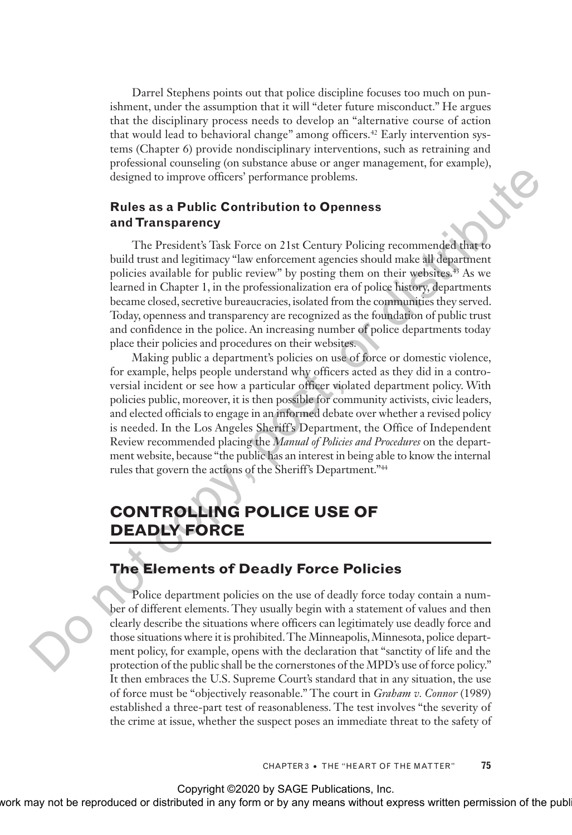Darrel Stephens points out that police discipline focuses too much on punishment, under the assumption that it will "deter future misconduct." He argues that the disciplinary process needs to develop an "alternative course of action that would lead to behavioral change" among officers.<sup>42</sup> Early intervention systems (Chapter 6) provide nondisciplinary interventions, such as retraining and professional counseling (on substance abuse or anger management, for example), designed to improve officers' performance problems.

# **Rules as a Public Contribution to Openness and Transparency**

The President's Task Force on 21st Century Policing recommended that to build trust and legitimacy "law enforcement agencies should make all department policies available for public review" by posting them on their websites.<sup>43</sup> As we learned in Chapter 1, in the professionalization era of police history, departments became closed, secretive bureaucracies, isolated from the communities they served. Today, openness and transparency are recognized as the foundation of public trust and confidence in the police. An increasing number of police departments today place their policies and procedures on their websites.

Making public a department's policies on use of force or domestic violence, for example, helps people understand why officers acted as they did in a controversial incident or see how a particular officer violated department policy. With policies public, moreover, it is then possible for community activists, civic leaders, and elected officials to engage in an informed debate over whether a revised policy is needed. In the Los Angeles Sheriff's Department, the Office of Independent Review recommended placing the *Manual of Policies and Procedures* on the department website, because "the public has an interest in being able to know the internal rules that govern the actions of the Sheriff's Department."44 The state of the computer of the computer products.<br>
The Persident State Contribution to Openness<br>
and Transparency Take Force on 21st Century Policing recommended thereof<br>
and Transparency Take Tore on 21st Century Polici

# **CONTROLLING POLICE USE OF DEADLY FORCE**

# **The Elements of Deadly Force Policies**

Police department policies on the use of deadly force today contain a number of different elements. They usually begin with a statement of values and then clearly describe the situations where officers can legitimately use deadly force and those situations where it is prohibited. The Minneapolis, Minnesota, police department policy, for example, opens with the declaration that "sanctity of life and the protection of the public shall be the cornerstones of the MPD's use of force policy." It then embraces the U.S. Supreme Court's standard that in any situation, the use of force must be "objectively reasonable." The court in *Graham v. Connor* (1989) established a three-part test of reasonableness. The test involves "the severity of the crime at issue, whether the suspect poses an immediate threat to the safety of

CHAPTER 3 • THE "HEART OF THE MATTER" **75**

Copyright ©2020 by SAGE Publications, Inc.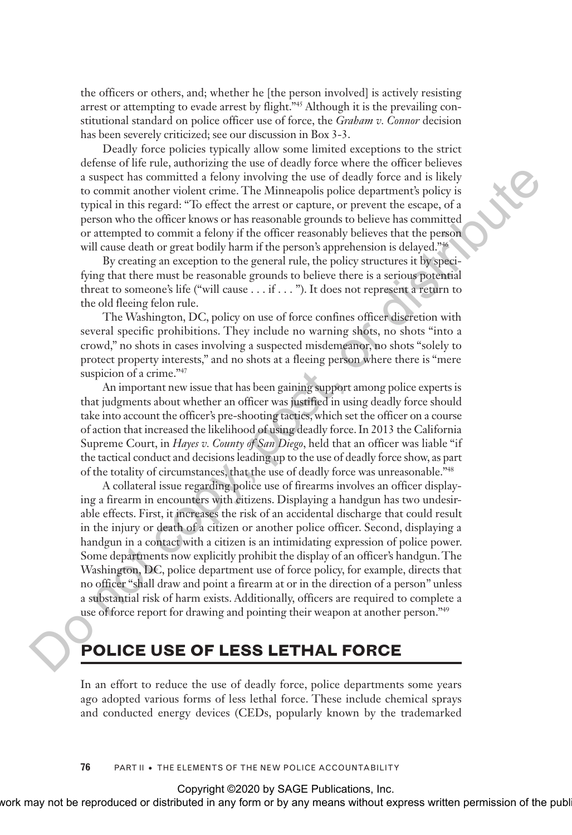the officers or others, and; whether he [the person involved] is actively resisting arrest or attempting to evade arrest by flight."45 Although it is the prevailing constitutional standard on police officer use of force, the *Graham v. Connor* decision has been severely criticized; see our discussion in Box 3-3.

Deadly force policies typically allow some limited exceptions to the strict defense of life rule, authorizing the use of deadly force where the officer believes a suspect has committed a felony involving the use of deadly force and is likely to commit another violent crime. The Minneapolis police department's policy is typical in this regard: "To effect the arrest or capture, or prevent the escape, of a person who the officer knows or has reasonable grounds to believe has committed or attempted to commit a felony if the officer reasonably believes that the person will cause death or great bodily harm if the person's apprehension is delayed."<sup>46</sup>

By creating an exception to the general rule, the policy structures it by specifying that there must be reasonable grounds to believe there is a serious potential threat to someone's life ("will cause . . . if . . . "). It does not represent a return to the old fleeing felon rule.

The Washington, DC, policy on use of force confines officer discretion with several specific prohibitions. They include no warning shots, no shots "into a crowd," no shots in cases involving a suspected misdemeanor, no shots "solely to protect property interests," and no shots at a fleeing person where there is "mere suspicion of a crime."<sup>47</sup>

An important new issue that has been gaining support among police experts is that judgments about whether an officer was justified in using deadly force should take into account the officer's pre-shooting tactics, which set the officer on a course of action that increased the likelihood of using deadly force. In 2013 the California Supreme Court, in *Hayes v. County of San Diego*, held that an officer was liable "if the tactical conduct and decisions leading up to the use of deadly force show, as part of the totality of circumstances, that the use of deadly force was unreasonable."48

A collateral issue regarding police use of firearms involves an officer displaying a firearm in encounters with citizens. Displaying a handgun has two undesirable effects. First, it increases the risk of an accidental discharge that could result in the injury or death of a citizen or another police officer. Second, displaying a handgun in a contact with a citizen is an intimidating expression of police power. Some departments now explicitly prohibit the display of an officer's handgun. The Washington, DC, police department use of force policy, for example, directs that no officer "shall draw and point a firearm at or in the direction of a person" unless a substantial risk of harm exists. Additionally, officers are required to complete a use of force report for drawing and pointing their weapon at another person."<sup>49</sup> a suspect has committed a fellow involving this use of deadly force and is likely to<br>post or commit another violent erine. The Minnenpolis police department's policy is<br>expected in this regard. "To effect the arrests or e

# **POLICE USE OF LESS LETHAL FORCE**

In an effort to reduce the use of deadly force, police departments some years ago adopted various forms of less lethal force. These include chemical sprays and conducted energy devices (CEDs, popularly known by the trademarked

**76** PART II • THE ELEMENTS OF THE NEW POLICE ACCOUNTABILITY

Copyright ©2020 by SAGE Publications, Inc.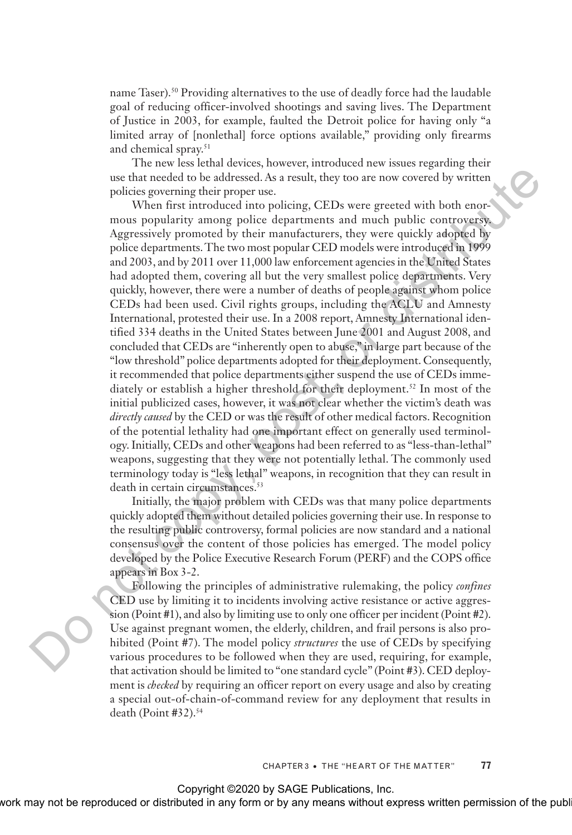name Taser).<sup>50</sup> Providing alternatives to the use of deadly force had the laudable goal of reducing officer-involved shootings and saving lives. The Department of Justice in 2003, for example, faulted the Detroit police for having only "a limited array of [nonlethal] force options available," providing only firearms and chemical spray.51

The new less lethal devices, however, introduced new issues regarding their use that needed to be addressed. As a result, they too are now covered by written policies governing their proper use.

When first introduced into policing, CEDs were greeted with both enormous popularity among police departments and much public controversy. Aggressively promoted by their manufacturers, they were quickly adopted by police departments. The two most popular CED models were introduced in 1999 and 2003, and by 2011 over 11,000 law enforcement agencies in the United States had adopted them, covering all but the very smallest police departments. Very quickly, however, there were a number of deaths of people against whom police CEDs had been used. Civil rights groups, including the ACLU and Amnesty International, protested their use. In a 2008 report, Amnesty International identified 334 deaths in the United States between June 2001 and August 2008, and concluded that CEDs are "inherently open to abuse," in large part because of the "low threshold" police departments adopted for their deployment. Consequently, it recommended that police departments either suspend the use of CEDs immediately or establish a higher threshold for their deployment.<sup>52</sup> In most of the initial publicized cases, however, it was not clear whether the victim's death was *directly caused* by the CED or was the result of other medical factors. Recognition of the potential lethality had one important effect on generally used terminology. Initially, CEDs and other weapons had been referred to as "less-than-lethal" weapons, suggesting that they were not potentially lethal. The commonly used terminology today is "less lethal" weapons, in recognition that they can result in death in certain circumstances.<sup>53</sup> use the treeded to be addressed. As a result, they too are now covered by written<br>policies governing their recoper use.<br>
Thus first introduced into policies ( $\sim$ 102), were greeded with both energy<br>Magnetics policies appe

Initially, the major problem with CEDs was that many police departments quickly adopted them without detailed policies governing their use. In response to the resulting public controversy, formal policies are now standard and a national consensus over the content of those policies has emerged. The model policy developed by the Police Executive Research Forum (PERF) and the COPS office appears in Box 3-2.

Following the principles of administrative rulemaking, the policy *confines* CED use by limiting it to incidents involving active resistance or active aggression (Point #1), and also by limiting use to only one officer per incident (Point #2). Use against pregnant women, the elderly, children, and frail persons is also prohibited (Point #7). The model policy *structures* the use of CEDs by specifying various procedures to be followed when they are used, requiring, for example, that activation should be limited to "one standard cycle" (Point #3). CED deployment is *checked* by requiring an officer report on every usage and also by creating a special out-of-chain-of-command review for any deployment that results in death (Point #32).<sup>54</sup>

Copyright ©2020 by SAGE Publications, Inc.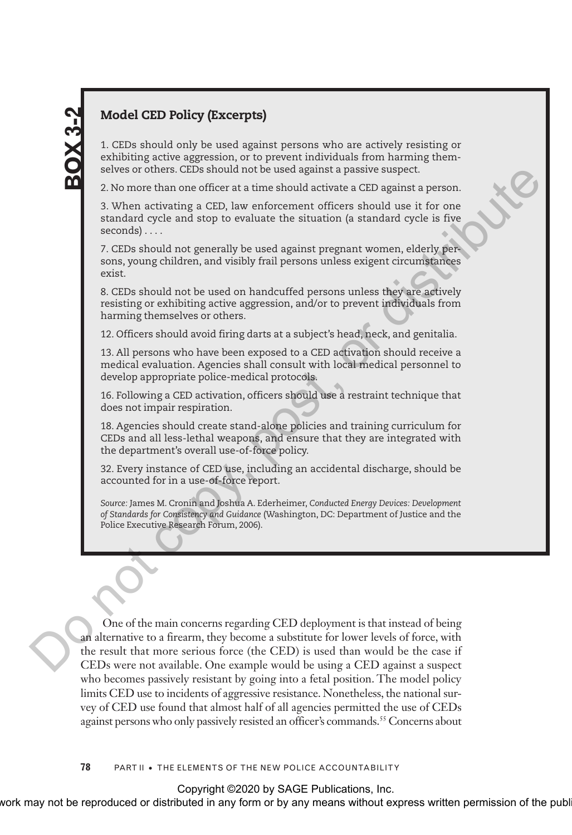# Model CED Policy (Excerpts)

1. CEDs should only be used against persons who are actively resisting or exhibiting active aggression, or to prevent individuals from harming themselves or others. CEDs should not be used against a passive suspect.

2. No more than one officer at a time should activate a CED against a person.

3. When activating a CED, law enforcement officers should use it for one standard cycle and stop to evaluate the situation (a standard cycle is five seconds) . . . .

7. CEDs should not generally be used against pregnant women, elderly persons, young children, and visibly frail persons unless exigent circumstances exist.

8. CEDs should not be used on handcuffed persons unless they are actively resisting or exhibiting active aggression, and/or to prevent individuals from harming themselves or others.

12. Officers should avoid firing darts at a subject's head, neck, and genitalia.

13. All persons who have been exposed to a CED activation should receive a medical evaluation. Agencies shall consult with local medical personnel to develop appropriate police-medical protocols.

16. Following a CED activation, officers should use a restraint technique that does not impair respiration.

18. Agencies should create stand-alone policies and training curriculum for CEDs and all less-lethal weapons, and ensure that they are integrated with the department's overall use-of-force policy.

32. Every instance of CED use, including an accidental discharge, should be accounted for in a use-of-force report.

*Source:* James M. Cronin and Joshua A. Ederheimer, *Conducted Energy Devices: Development of Standards for Consistency and Guidance* (Washington, DC: Department of Justice and the Police Executive Research Forum, 2006).

One of the main concerns regarding CED deployment is that instead of being an alternative to a firearm, they become a substitute for lower levels of force, with the result that more serious force (the CED) is used than would be the case if CEDs were not available. One example would be using a CED against a suspect who becomes passively resistant by going into a fetal position. The model policy limits CED use to incidents of aggressive resistance. Nonetheless, the national survey of CED use found that almost half of all agencies permitted the use of CEDs against persons who only passively resisted an officer's commands.<sup>55</sup> Concerns about series or others. CEDs about<br>In a filtre used against a parason.<br>
2. No more than one officer at a time should activate a CED against a person.<br>
3. When activating a CED, lew enforcement officers should use it for one<br>
st

### **78** PART II • THE ELEMENTS OF THE NEW POLICE ACCOUNTABILITY

Copyright ©2020 by SAGE Publications, Inc.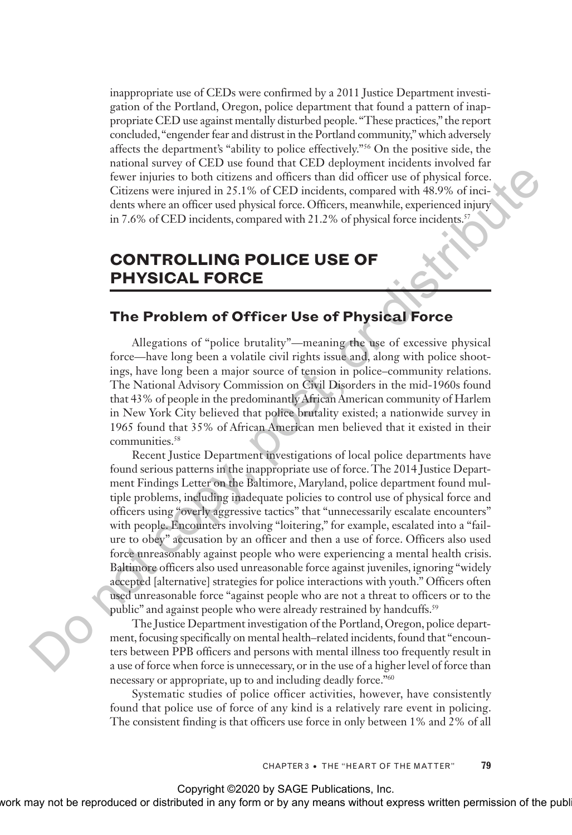inappropriate use of CEDs were confirmed by a 2011 Justice Department investigation of the Portland, Oregon, police department that found a pattern of inappropriate CED use against mentally disturbed people. "These practices," the report concluded, "engender fear and distrust in the Portland community," which adversely affects the department's "ability to police effectively."56 On the positive side, the national survey of CED use found that CED deployment incidents involved far fewer injuries to both citizens and officers than did officer use of physical force. Citizens were injured in 25.1% of CED incidents, compared with 48.9% of incidents where an officer used physical force. Officers, meanwhile, experienced injury in 7.6% of CED incidents, compared with 21.2% of physical force incidents.<sup>57</sup>

# **CONTROLLING POLICE USE OF PHYSICAL FORCE**

# **The Problem of Officer Use of Physical Force**

Allegations of "police brutality"—meaning the use of excessive physical force—have long been a volatile civil rights issue and, along with police shootings, have long been a major source of tension in police–community relations. The National Advisory Commission on Civil Disorders in the mid-1960s found that 43% of people in the predominantly African American community of Harlem in New York City believed that police brutality existed; a nationwide survey in 1965 found that 35% of African American men believed that it existed in their communities.<sup>58</sup>

Recent Justice Department investigations of local police departments have found serious patterns in the inappropriate use of force. The 2014 Justice Department Findings Letter on the Baltimore, Maryland, police department found multiple problems, including inadequate policies to control use of physical force and officers using "overly aggressive tactics" that "unnecessarily escalate encounters" with people. Encounters involving "loitering," for example, escalated into a "failure to obey" accusation by an officer and then a use of force. Officers also used force unreasonably against people who were experiencing a mental health crisis. Baltimore officers also used unreasonable force against juveniles, ignoring "widely accepted [alternative] strategies for police interactions with youth." Officers often used unreasonable force "against people who are not a threat to officers or to the public" and against people who were already restrained by handcuffs.<sup>59</sup> fewer injurings to both citizens and offlicers than did offlicer use of physical force, there are not a state of the state of the state of the state of the state of the state of the state of the state of the state of the

The Justice Department investigation of the Portland, Oregon, police department, focusing specifically on mental health–related incidents, found that "encounters between PPB officers and persons with mental illness too frequently result in a use of force when force is unnecessary, or in the use of a higher level of force than necessary or appropriate, up to and including deadly force."60

Systematic studies of police officer activities, however, have consistently found that police use of force of any kind is a relatively rare event in policing. The consistent finding is that officers use force in only between 1% and 2% of all



Copyright ©2020 by SAGE Publications, Inc.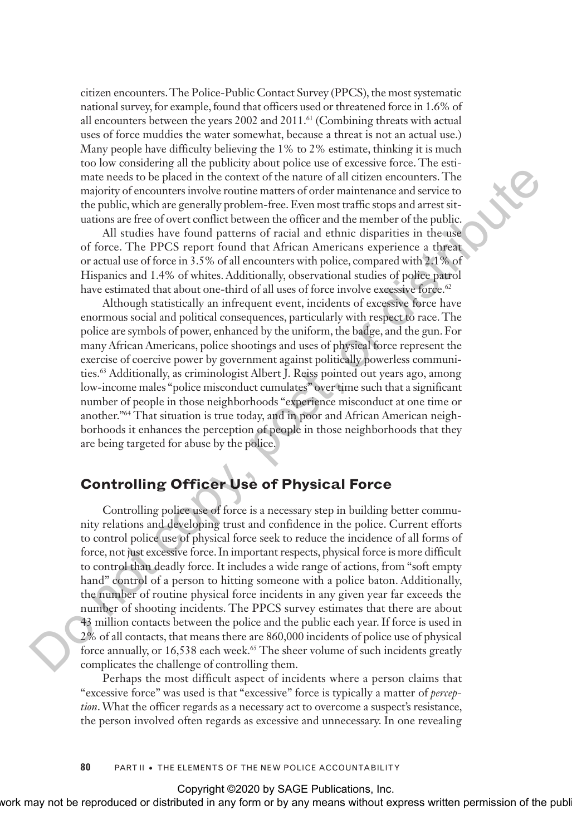citizen encounters. The Police-Public Contact Survey (PPCS), the most systematic national survey, for example, found that officers used or threatened force in 1.6% of all encounters between the years 2002 and 2011.61 (Combining threats with actual uses of force muddies the water somewhat, because a threat is not an actual use.) Many people have difficulty believing the 1% to 2% estimate, thinking it is much too low considering all the publicity about police use of excessive force. The estimate needs to be placed in the context of the nature of all citizen encounters. The majority of encounters involve routine matters of order maintenance and service to the public, which are generally problem-free. Even most traffic stops and arrest situations are free of overt conflict between the officer and the member of the public.

All studies have found patterns of racial and ethnic disparities in the use of force. The PPCS report found that African Americans experience a threat or actual use of force in 3.5% of all encounters with police, compared with 2.1% of Hispanics and 1.4% of whites. Additionally, observational studies of police patrol have estimated that about one-third of all uses of force involve excessive force.<sup>62</sup>

Although statistically an infrequent event, incidents of excessive force have enormous social and political consequences, particularly with respect to race. The police are symbols of power, enhanced by the uniform, the badge, and the gun. For many African Americans, police shootings and uses of physical force represent the exercise of coercive power by government against politically powerless communities.63 Additionally, as criminologist Albert J. Reiss pointed out years ago, among low-income males "police misconduct cumulates" over time such that a significant number of people in those neighborhoods "experience misconduct at one time or another."64 That situation is true today, and in poor and African American neighborhoods it enhances the perception of people in those neighborhoods that they are being targeted for abuse by the police.

# **Controlling Officer Use of Physical Force**

Controlling police use of force is a necessary step in building better community relations and developing trust and confidence in the police. Current efforts to control police use of physical force seek to reduce the incidence of all forms of force, not just excessive force. In important respects, physical force is more difficult to control than deadly force. It includes a wide range of actions, from "soft empty hand" control of a person to hitting someone with a police baton. Additionally, the number of routine physical force incidents in any given year far exceeds the number of shooting incidents. The PPCS survey estimates that there are about 43 million contacts between the police and the public each year. If force is used in 2% of all contacts, that means there are 860,000 incidents of police use of physical force annually, or 16,538 each week.<sup>65</sup> The sheer volume of such incidents greatly complicates the challenge of controlling them. mate meeks to be placed in the constat of the nature of all traitem are<br>non-target in the place of the place and service to the place and service to the place and service to the polic, which are generally prohiben-free. F

Perhaps the most difficult aspect of incidents where a person claims that "excessive force" was used is that "excessive" force is typically a matter of *perception*. What the officer regards as a necessary act to overcome a suspect's resistance, the person involved often regards as excessive and unnecessary. In one revealing



Copyright ©2020 by SAGE Publications, Inc.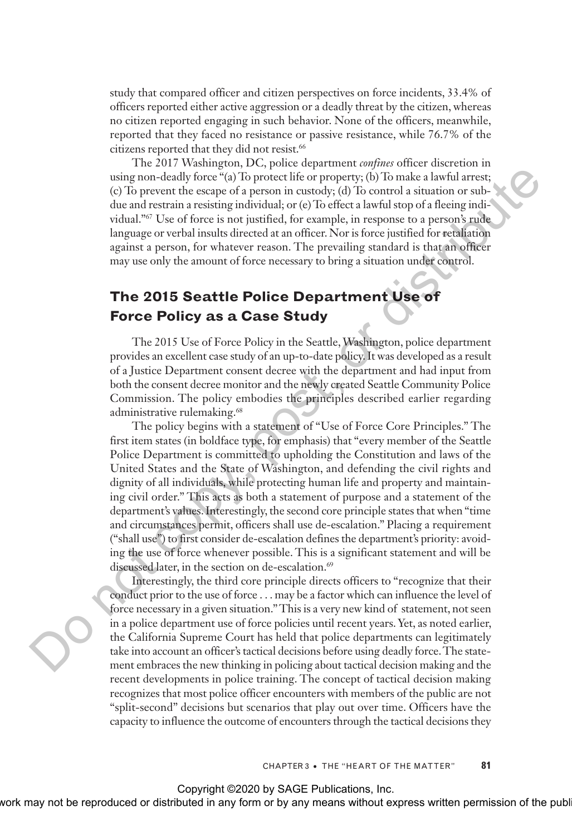study that compared officer and citizen perspectives on force incidents, 33.4% of officers reported either active aggression or a deadly threat by the citizen, whereas no citizen reported engaging in such behavior. None of the officers, meanwhile, reported that they faced no resistance or passive resistance, while 76.7% of the citizens reported that they did not resist.<sup>66</sup>

The 2017 Washington, DC, police department *confines* officer discretion in using non-deadly force "(a) To protect life or property; (b) To make a lawful arrest; (c) To prevent the escape of a person in custody; (d) To control a situation or subdue and restrain a resisting individual; or (e) To effect a lawful stop of a fleeing individual."67 Use of force is not justified, for example, in response to a person's rude language or verbal insults directed at an officer. Nor is force justified for retaliation against a person, for whatever reason. The prevailing standard is that an officer may use only the amount of force necessary to bring a situation under control.

# **The 2015 Seattle Police Department Use of Force Policy as a Case Study**

The 2015 Use of Force Policy in the Seattle, Washington, police department provides an excellent case study of an up-to-date policy. It was developed as a result of a Justice Department consent decree with the department and had input from both the consent decree monitor and the newly created Seattle Community Police Commission. The policy embodies the principles described earlier regarding administrative rulemaking.<sup>68</sup>

The policy begins with a statement of "Use of Force Core Principles." The first item states (in boldface type, for emphasis) that "every member of the Seattle Police Department is committed to upholding the Constitution and laws of the United States and the State of Washington, and defending the civil rights and dignity of all individuals, while protecting human life and property and maintaining civil order." This acts as both a statement of purpose and a statement of the department's values. Interestingly, the second core principle states that when "time and circumstances permit, officers shall use de-escalation." Placing a requirement ("shall use") to first consider de-escalation defines the department's priority: avoiding the use of force whenever possible. This is a significant statement and will be discussed later, in the section on de-escalation.<sup>69</sup> using non-deally forces<sup>76</sup>(a) To posite life or property (b) To make a lawful arrests<br>(c) To prevent the escape of a person in enstedy, (d) To control a simulation or sub-<br>the anomelectration are formed a provided as the

Interestingly, the third core principle directs officers to "recognize that their conduct prior to the use of force . . . may be a factor which can influence the level of force necessary in a given situation." This is a very new kind of statement, not seen in a police department use of force policies until recent years. Yet, as noted earlier, the California Supreme Court has held that police departments can legitimately take into account an officer's tactical decisions before using deadly force. The statement embraces the new thinking in policing about tactical decision making and the recent developments in police training. The concept of tactical decision making recognizes that most police officer encounters with members of the public are not "split-second" decisions but scenarios that play out over time. Officers have the capacity to influence the outcome of encounters through the tactical decisions they



Copyright ©2020 by SAGE Publications, Inc.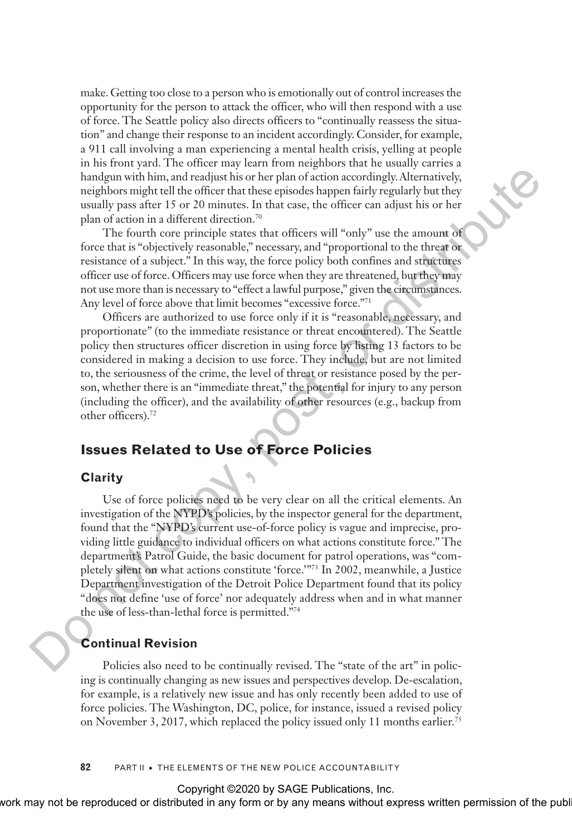make. Getting too close to a person who is emotionally out of control increases the opportunity for the person to attack the officer, who will then respond with a use of force. The Seattle policy also directs officers to "continually reassess the situation" and change their response to an incident accordingly. Consider, for example, a 911 call involving a man experiencing a mental health crisis, yelling at people in his front yard. The officer may learn from neighbors that he usually carries a handgun with him, and readjust his or her plan of action accordingly. Alternatively, neighbors might tell the officer that these episodes happen fairly regularly but they usually pass after 15 or 20 minutes. In that case, the officer can adjust his or her plan of action in a different direction.70

The fourth core principle states that officers will "only" use the amount of force that is "objectively reasonable," necessary, and "proportional to the threat or resistance of a subject." In this way, the force policy both confines and structures officer use of force. Officers may use force when they are threatened, but they may not use more than is necessary to "effect a lawful purpose," given the circumstances. Any level of force above that limit becomes "excessive force."<sup>71</sup>

Officers are authorized to use force only if it is "reasonable, necessary, and proportionate" (to the immediate resistance or threat encountered). The Seattle policy then structures officer discretion in using force by listing 13 factors to be considered in making a decision to use force. They include, but are not limited to, the seriousness of the crime, the level of threat or resistance posed by the person, whether there is an "immediate threat," the potential for injury to any person (including the officer), and the availability of other resources (e.g., backup from other officers).72

# **Issues Related to Use of Force Policies**

### **Clarity**

Use of force policies need to be very clear on all the critical elements. An investigation of the NYPD's policies, by the inspector general for the department, found that the "NYPD's current use-of-force policy is vague and imprecise, providing little guidance to individual officers on what actions constitute force." The department's Patrol Guide, the basic document for patrol operations, was "completely silent on what actions constitute 'force.'"73 In 2002, meanwhile, a Justice Department investigation of the Detroit Police Department found that its policy "does not define 'use of force' nor adequately address when and in what manner the use of less-than-lethal force is permitted."74 handma with him and readings his co ther plan of action accordingly. Alternatively, according<br>megishoor might rell the officer that these episodes bappen finity regularly hurthey<br>usually pass after 15 or 20 minutes. In th

### **Continual Revision**

Policies also need to be continually revised. The "state of the art" in policing is continually changing as new issues and perspectives develop. De-escalation, for example, is a relatively new issue and has only recently been added to use of force policies. The Washington, DC, police, for instance, issued a revised policy on November 3, 2017, which replaced the policy issued only 11 months earlier.<sup>75</sup>

**82** PART II • THE ELEMENTS OF THE NEW POLICE ACCOUNTABILITY

### Copyright ©2020 by SAGE Publications, Inc.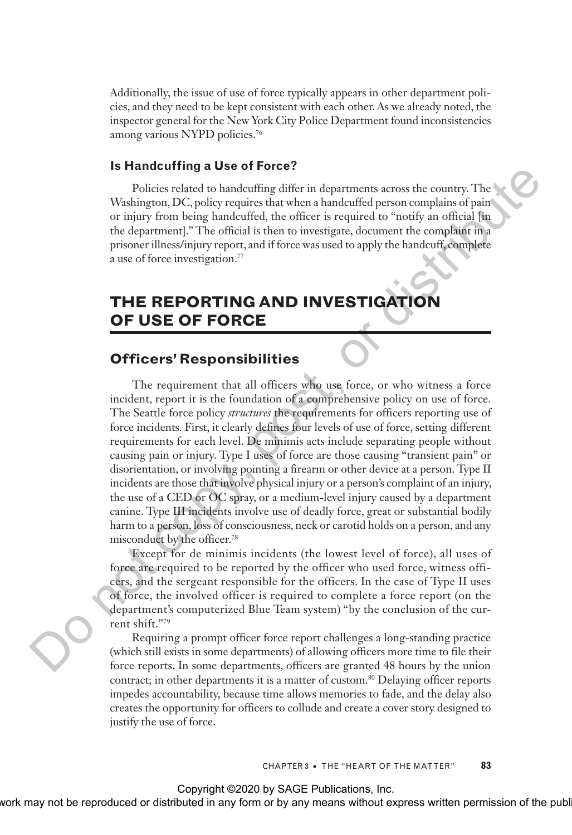Additionally, the issue of use of force typically appears in other department policies, and they need to be kept consistent with each other. As we already noted, the inspector general for the New York City Police Department found inconsistencies among various NYPD policies.<sup>76</sup>

### **Is Handcuffing a Use of Force?**

Policies related to handcuffing differ in departments across the country. The Washington, DC, policy requires that when a handcuffed person complains of pain or injury from being handcuffed, the officer is required to "notify an official [in the department]." The official is then to investigate, document the complaint in a prisoner illness/injury report, and if force was used to apply the handcuff, complete a use of force investigation.77

# **THE REPORTING AND INVESTIGATION OF USE OF FORCE**

### **Officers' Responsibilities**

The requirement that all officers who use force, or who witness a force incident, report it is the foundation of a comprehensive policy on use of force. The Seattle force policy *structures* the requirements for officers reporting use of force incidents. First, it clearly defines four levels of use of force, setting different requirements for each level. De minimis acts include separating people without causing pain or injury. Type I uses of force are those causing "transient pain" or disorientation, or involving pointing a firearm or other device at a person. Type II incidents are those that involve physical injury or a person's complaint of an injury, the use of a CED or OC spray, or a medium-level injury caused by a department canine. Type III incidents involve use of deadly force, great or substantial bodily harm to a person, loss of consciousness, neck or carotid holds on a person, and any misconduct by the officer.78 **Position control and the mathematical control and the posterior of the country. The Washington, DC, policy requirest that when a handcatified proto complains figure that the intermediate product in the distributed in the** 

Except for de minimis incidents (the lowest level of force), all uses of force are required to be reported by the officer who used force, witness officers, and the sergeant responsible for the officers. In the case of Type II uses of force, the involved officer is required to complete a force report (on the department's computerized Blue Team system) "by the conclusion of the current shift."79

Requiring a prompt officer force report challenges a long-standing practice (which still exists in some departments) of allowing officers more time to file their force reports. In some departments, officers are granted 48 hours by the union contract; in other departments it is a matter of custom.<sup>80</sup> Delaying officer reports impedes accountability, because time allows memories to fade, and the delay also creates the opportunity for officers to collude and create a cover story designed to justify the use of force.

Copyright ©2020 by SAGE Publications, Inc.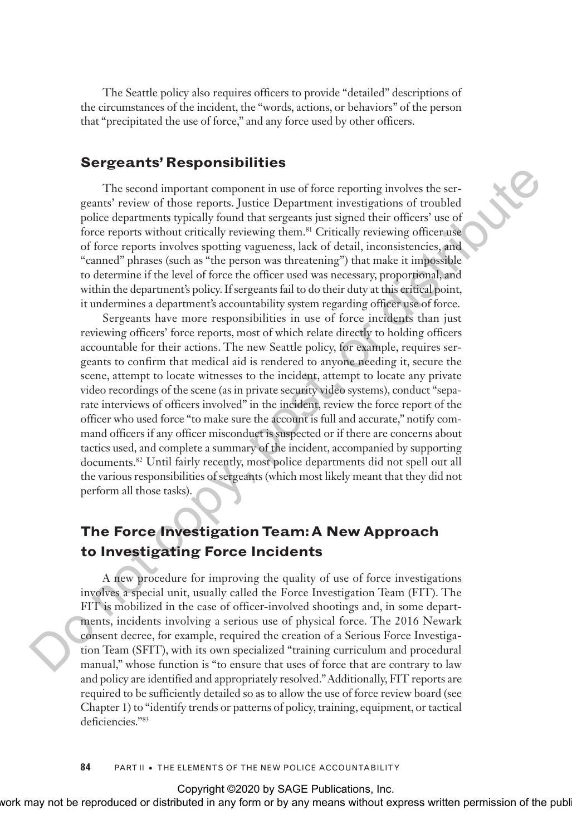The Seattle policy also requires officers to provide "detailed" descriptions of the circumstances of the incident, the "words, actions, or behaviors" of the person that "precipitated the use of force," and any force used by other officers.

## **Sergeants' Responsibilities**

The second important component in use of force reporting involves the sergeants' review of those reports. Justice Department investigations of troubled police departments typically found that sergeants just signed their officers' use of force reports without critically reviewing them.<sup>81</sup> Critically reviewing officer use of force reports involves spotting vagueness, lack of detail, inconsistencies, and "canned" phrases (such as "the person was threatening") that make it impossible to determine if the level of force the officer used was necessary, proportional, and within the department's policy. If sergeants fail to do their duty at this critical point, it undermines a department's accountability system regarding officer use of force.

Sergeants have more responsibilities in use of force incidents than just reviewing officers' force reports, most of which relate directly to holding officers accountable for their actions. The new Seattle policy, for example, requires sergeants to confirm that medical aid is rendered to anyone needing it, secure the scene, attempt to locate witnesses to the incident, attempt to locate any private video recordings of the scene (as in private security video systems), conduct "separate interviews of officers involved" in the incident, review the force report of the officer who used force "to make sure the account is full and accurate," notify command officers if any officer misconduct is suspected or if there are concerns about tactics used, and complete a summary of the incident, accompanied by supporting documents.<sup>82</sup> Until fairly recently, most police departments did not spell out all the various responsibilities of sergeants (which most likely meant that they did not perform all those tasks). The second important component in use of force reporting involves the ser-<br>geans? review of those reports, Justice Department investigations of rootbiled<br>police departments typically found that sergeans just signed their

# **The Force Investigation Team: A New Approach to Investigating Force Incidents**

A new procedure for improving the quality of use of force investigations involves a special unit, usually called the Force Investigation Team (FIT). The FIT is mobilized in the case of officer-involved shootings and, in some departments, incidents involving a serious use of physical force. The 2016 Newark consent decree, for example, required the creation of a Serious Force Investigation Team (SFIT), with its own specialized "training curriculum and procedural manual," whose function is "to ensure that uses of force that are contrary to law and policy are identified and appropriately resolved." Additionally, FIT reports are required to be sufficiently detailed so as to allow the use of force review board (see Chapter 1) to "identify trends or patterns of policy, training, equipment, or tactical deficiencies."83

**84** PART II • THE ELEMENTS OF THE NEW POLICE ACCOUNTABILITY

Copyright ©2020 by SAGE Publications, Inc.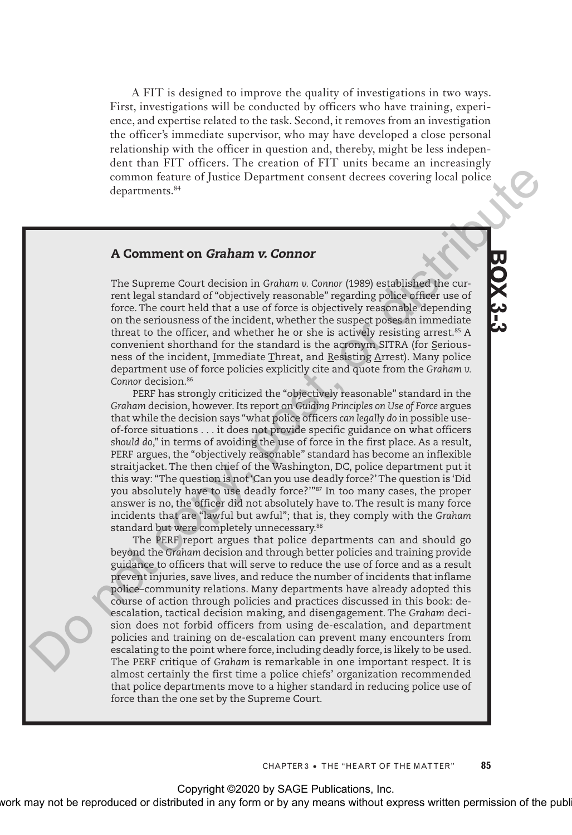A FIT is designed to improve the quality of investigations in two ways. First, investigations will be conducted by officers who have training, experience, and expertise related to the task. Second, it removes from an investigation the officer's immediate supervisor, who may have developed a close personal relationship with the officer in question and, thereby, might be less independent than FIT officers. The creation of FIT units became an increasingly common feature of Justice Department consent decrees covering local police departments.<sup>84</sup>

### A Comment on Graham v. Connor

The Supreme Court decision in *Graham v. Connor* (1989) established the current legal standard of "objectively reasonable" regarding police officer use of force. The court held that a use of force is objectively reasonable depending on the seriousness of the incident, whether the suspect poses an immediate threat to the officer, and whether he or she is actively resisting arrest.<sup>85</sup> A convenient shorthand for the standard is the acronym SITRA (for Seriousness of the incident, Immediate Threat, and Resisting Arrest). Many police department use of force policies explicitly cite and quote from the *Graham v.*  Connor decision.<sup>86</sup>

PERF has strongly criticized the "objectively reasonable" standard in the *Graham* decision, however. Its report on *Guiding Principles on Use of Force* argues that while the decision says "what police officers *can legally do* in possible useof-force situations . . . it does not provide specific guidance on what officers *should do*," in terms of avoiding the use of force in the first place. As a result, PERF argues, the "objectively reasonable" standard has become an inflexible straitjacket. The then chief of the Washington, DC, police department put it this way: "The question is not 'Can you use deadly force?' The question is 'Did you absolutely have to use deadly force?'"87 In too many cases, the proper answer is no, the officer did not absolutely have to. The result is many force incidents that are "lawful but awful"; that is, they comply with the *Graham* standard but were completely unnecessary.<sup>88</sup> common feature of Justice Department consent decrees covering local police<br>
departments.<sup>84</sup><br>
The Superme Court celesion in Coral certification compactively reasonable "regarding police applicing the core<br>
The Supermeter

The PERF report argues that police departments can and should go beyond the *Graham* decision and through better policies and training provide guidance to officers that will serve to reduce the use of force and as a result prevent injuries, save lives, and reduce the number of incidents that inflame police–community relations. Many departments have already adopted this course of action through policies and practices discussed in this book: deescalation, tactical decision making, and disengagement. The *Graham* decision does not forbid officers from using de-escalation, and department policies and training on de-escalation can prevent many encounters from escalating to the point where force, including deadly force, is likely to be used. The PERF critique of *Graham* is remarkable in one important respect. It is almost certainly the first time a police chiefs' organization recommended that police departments move to a higher standard in reducing police use of force than the one set by the Supreme Court.

Copyright ©2020 by SAGE Publications, Inc.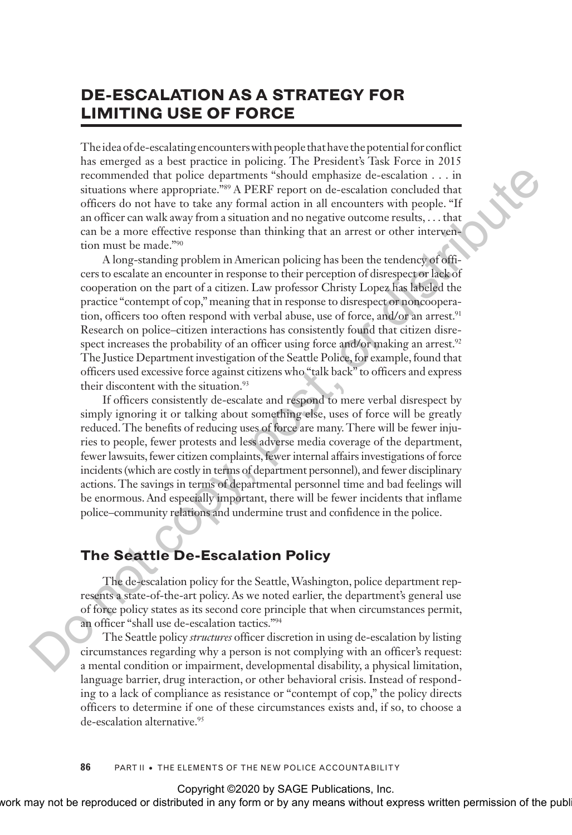# **DE-ESCALATION AS A STRATEGY FOR LIMITING USE OF FORCE**

The idea of de-escalating encounters with people that have the potential for conflict has emerged as a best practice in policing. The President's Task Force in 2015 recommended that police departments "should emphasize de-escalation . . . in situations where appropriate."89 A PERF report on de-escalation concluded that officers do not have to take any formal action in all encounters with people. "If an officer can walk away from a situation and no negative outcome results, . . . that can be a more effective response than thinking that an arrest or other intervention must be made."90

A long-standing problem in American policing has been the tendency of officers to escalate an encounter in response to their perception of disrespect or lack of cooperation on the part of a citizen. Law professor Christy Lopez has labeled the practice "contempt of cop," meaning that in response to disrespect or noncooperation, officers too often respond with verbal abuse, use of force, and/or an arrest.<sup>91</sup> Research on police–citizen interactions has consistently found that citizen disrespect increases the probability of an officer using force and/or making an arrest.<sup>92</sup> The Justice Department investigation of the Seattle Police, for example, found that officers used excessive force against citizens who "talk back" to officers and express their discontent with the situation.<sup>93</sup> recommended that police departments "should emphable describution. . . in<br>adiation sphere appropriate."<sup>36</sup> APERF report on de-seculation concluded that<br>officers do not have to take any formal action in all encounters wit

If officers consistently de-escalate and respond to mere verbal disrespect by simply ignoring it or talking about something else, uses of force will be greatly reduced. The benefits of reducing uses of force are many. There will be fewer injuries to people, fewer protests and less adverse media coverage of the department, fewer lawsuits, fewer citizen complaints, fewer internal affairs investigations of force incidents (which are costly in terms of department personnel), and fewer disciplinary actions. The savings in terms of departmental personnel time and bad feelings will be enormous. And especially important, there will be fewer incidents that inflame police–community relations and undermine trust and confidence in the police.

# **The Seattle De-Escalation Policy**

The de-escalation policy for the Seattle, Washington, police department represents a state-of-the-art policy. As we noted earlier, the department's general use of force policy states as its second core principle that when circumstances permit, an officer "shall use de-escalation tactics."94

The Seattle policy *structures* officer discretion in using de-escalation by listing circumstances regarding why a person is not complying with an officer's request: a mental condition or impairment, developmental disability, a physical limitation, language barrier, drug interaction, or other behavioral crisis. Instead of responding to a lack of compliance as resistance or "contempt of cop," the policy directs officers to determine if one of these circumstances exists and, if so, to choose a de-escalation alternative<sup>95</sup>

**86** PART II • THE ELEMENTS OF THE NEW POLICE ACCOUNTABILITY

### Copyright ©2020 by SAGE Publications, Inc.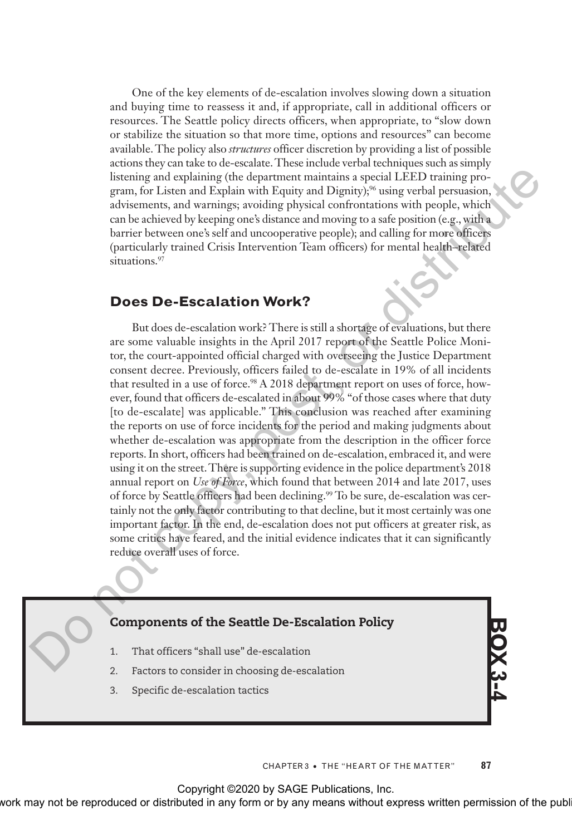One of the key elements of de-escalation involves slowing down a situation and buying time to reassess it and, if appropriate, call in additional officers or resources. The Seattle policy directs officers, when appropriate, to "slow down or stabilize the situation so that more time, options and resources" can become available. The policy also *structures* officer discretion by providing a list of possible actions they can take to de-escalate. These include verbal techniques such as simply listening and explaining (the department maintains a special LEED training program, for Listen and Explain with Equity and Dignity);<sup>96</sup> using verbal persuasion, advisements, and warnings; avoiding physical confrontations with people, which can be achieved by keeping one's distance and moving to a safe position (e.g., with a barrier between one's self and uncooperative people); and calling for more officers (particularly trained Crisis Intervention Team officers) for mental health–related situations.<sup>97</sup>

## **Does De-Escalation Work?**

But does de-escalation work? There is still a shortage of evaluations, but there are some valuable insights in the April 2017 report of the Seattle Police Monitor, the court-appointed official charged with overseeing the Justice Department consent decree. Previously, officers failed to de-escalate in 19% of all incidents that resulted in a use of force.<sup>98</sup> A 2018 department report on uses of force, however, found that officers de-escalated in about 99% "of those cases where that duty [to de-escalate] was applicable." This conclusion was reached after examining the reports on use of force incidents for the period and making judgments about whether de-escalation was appropriate from the description in the officer force reports. In short, officers had been trained on de-escalation, embraced it, and were using it on the street. There is supporting evidence in the police department's 2018 annual report on *Use of Force*, which found that between 2014 and late 2017, uses of force by Seattle officers had been declining.<sup>99</sup> To be sure, de-escalation was certainly not the only factor contributing to that decline, but it most certainly was one important factor. In the end, de-escalation does not put officers at greater risk, as some critics have feared, and the initial evidence indicates that it can significantly reduce overall uses of force. listering and explaining (the department maintains a specific LEED priming prior<br>spann, for Listern and Explain with Equity and Dignity).<sup>92</sup> suing verbal persussions, and was a considered by keeping one'd distance and mo

### Components of the Seattle De-Escalation Policy

- 1. That officers "shall use" de-escalation
- 2. Factors to consider in choosing de-escalation
- 3. Specific de-escalation tactics

**BOX 3-4**

CHAPTER 3 • THE "HEART OF THE MATTER" **87**

Copyright ©2020 by SAGE Publications, Inc.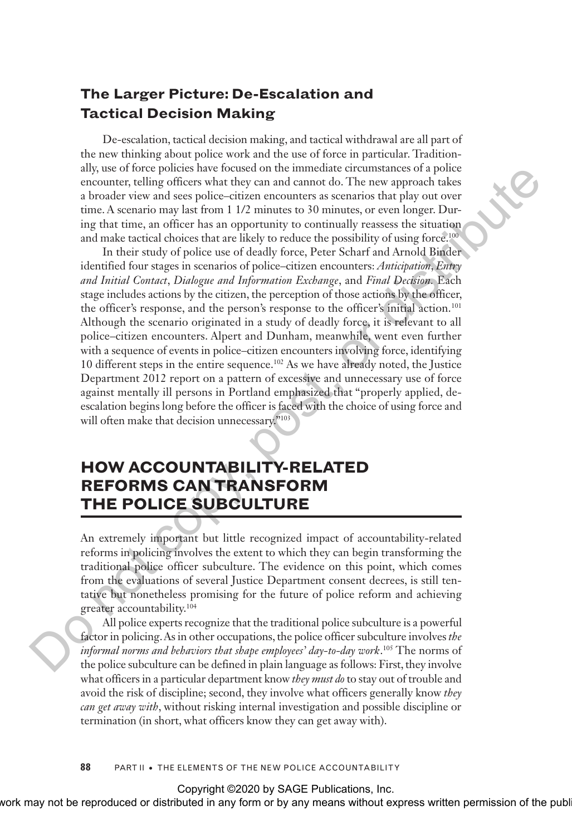# **The Larger Picture: De-Escalation and Tactical Decision Making**

De-escalation, tactical decision making, and tactical withdrawal are all part of the new thinking about police work and the use of force in particular. Traditionally, use of force policies have focused on the immediate circumstances of a police encounter, telling officers what they can and cannot do. The new approach takes a broader view and sees police–citizen encounters as scenarios that play out over time. A scenario may last from 1 1/2 minutes to 30 minutes, or even longer. During that time, an officer has an opportunity to continually reassess the situation and make tactical choices that are likely to reduce the possibility of using force.<sup>100</sup>

In their study of police use of deadly force, Peter Scharf and Arnold Binder identified four stages in scenarios of police–citizen encounters: *Anticipation*, *Entry and Initial Contact*, *Dialogue and Information Exchange*, and *Final Decision.* Each stage includes actions by the citizen, the perception of those actions by the officer, the officer's response, and the person's response to the officer's initial action.<sup>101</sup> Although the scenario originated in a study of deadly force, it is relevant to all police–citizen encounters. Alpert and Dunham, meanwhile, went even further with a sequence of events in police–citizen encounters involving force, identifying 10 different steps in the entire sequence.102 As we have already noted, the Justice Department 2012 report on a pattern of excessive and unnecessary use of force against mentally ill persons in Portland emphasized that "properly applied, deescalation begins long before the officer is faced with the choice of using force and will often make that decision unnecessary."103 any), use of torce points have to essent on the immediate crematistics of a pointer and shortly interest in the state about the state about the state in the state of the measurable plane interest and state in the state in

# **HOW ACCOUNTABILITY-RELATED REFORMS CAN TRANSFORM THE POLICE SUBCULTURE**

An extremely important but little recognized impact of accountability-related reforms in policing involves the extent to which they can begin transforming the traditional police officer subculture. The evidence on this point, which comes from the evaluations of several Justice Department consent decrees, is still tentative but nonetheless promising for the future of police reform and achieving greater accountability.104

All police experts recognize that the traditional police subculture is a powerful factor in policing. As in other occupations, the police officer subculture involves *the informal norms and behaviors that shape employees' day-to-day work*. 105 The norms of the police subculture can be defined in plain language as follows: First, they involve what officers in a particular department know *they must do* to stay out of trouble and avoid the risk of discipline; second, they involve what officers generally know *they can get away with*, without risking internal investigation and possible discipline or termination (in short, what officers know they can get away with).

### **88** PART II • THE ELEMENTS OF THE NEW POLICE ACCOUNTABILITY

Copyright ©2020 by SAGE Publications, Inc.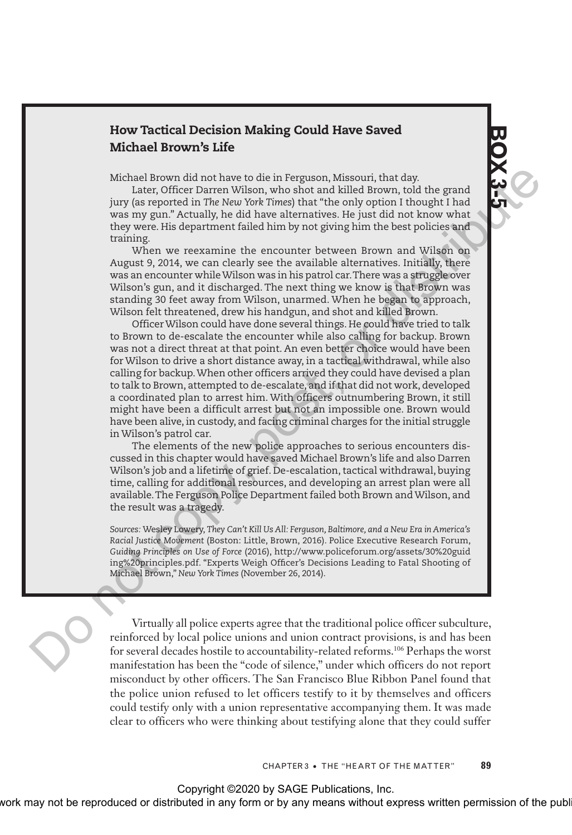# How Tactical Decision Making Could Have Saved Michael Brown's Life

Michael Brown did not have to die in Ferguson, Missouri, that day.

Later, Officer Darren Wilson, who shot and killed Brown, told the grand jury (as reported in *The New York Times*) that "the only option I thought I had was my gun." Actually, he did have alternatives. He just did not know what they were. His department failed him by not giving him the best policies and training.

**BOX 3-5**

When we reexamine the encounter between Brown and Wilson on August 9, 2014, we can clearly see the available alternatives. Initially, there was an encounter while Wilson was in his patrol car. There was a struggle over Wilson's gun, and it discharged. The next thing we know is that Brown was standing 30 feet away from Wilson, unarmed. When he began to approach, Wilson felt threatened, drew his handgun, and shot and killed Brown.

Officer Wilson could have done several things. He could have tried to talk to Brown to de-escalate the encounter while also calling for backup. Brown was not a direct threat at that point. An even better choice would have been for Wilson to drive a short distance away, in a tactical withdrawal, while also calling for backup. When other officers arrived they could have devised a plan to talk to Brown, attempted to de-escalate, and if that did not work, developed a coordinated plan to arrest him. With officers outnumbering Brown, it still might have been a difficult arrest but not an impossible one. Brown would have been alive, in custody, and facing criminal charges for the initial struggle in Wilson's patrol car. Do not copy, post, or distribute

The elements of the new police approaches to serious encounters discussed in this chapter would have saved Michael Brown's life and also Darren Wilson's job and a lifetime of grief. De-escalation, tactical withdrawal, buying time, calling for additional resources, and developing an arrest plan were all available. The Ferguson Police Department failed both Brown and Wilson, and the result was a tragedy.

*Sources:* Wesley Lowery, *They Can't Kill Us All: Ferguson, Baltimore, and a New Era in America's Racial Justice Movement* (Boston: Little, Brown, 2016). Police Executive Research Forum, *Guiding Principles on Use of Force* (2016), http://www.policeforum.org/assets/30%20guid ing%20principles.pdf. "Experts Weigh Officer's Decisions Leading to Fatal Shooting of Michael Brown," *New York Times* (November 26, 2014).

Virtually all police experts agree that the traditional police officer subculture, reinforced by local police unions and union contract provisions, is and has been for several decades hostile to accountability-related reforms.106 Perhaps the worst manifestation has been the "code of silence," under which officers do not report misconduct by other officers. The San Francisco Blue Ribbon Panel found that the police union refused to let officers testify to it by themselves and officers could testify only with a union representative accompanying them. It was made clear to officers who were thinking about testifying alone that they could suffer

Copyright ©2020 by SAGE Publications, Inc.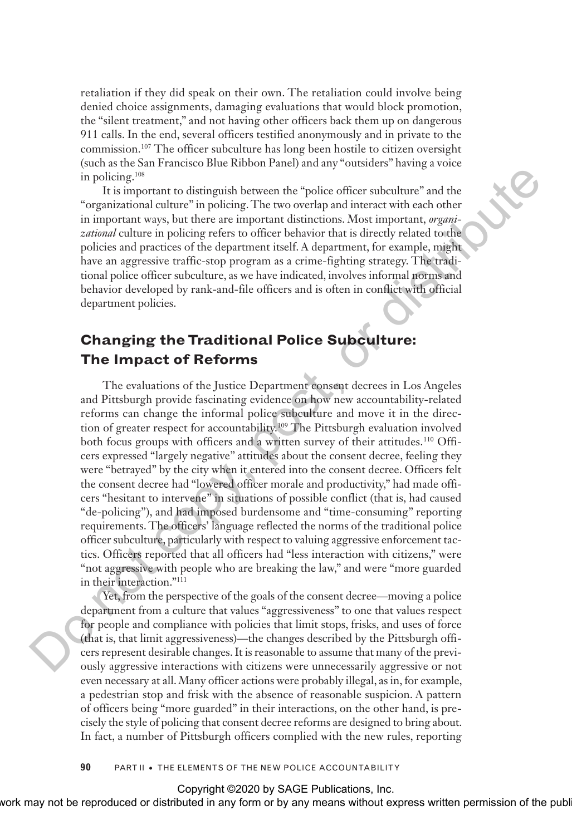retaliation if they did speak on their own. The retaliation could involve being denied choice assignments, damaging evaluations that would block promotion, the "silent treatment," and not having other officers back them up on dangerous 911 calls. In the end, several officers testified anonymously and in private to the commission.107 The officer subculture has long been hostile to citizen oversight (such as the San Francisco Blue Ribbon Panel) and any "outsiders" having a voice in policing.108

It is important to distinguish between the "police officer subculture" and the "organizational culture" in policing. The two overlap and interact with each other in important ways, but there are important distinctions. Most important, *organizational* culture in policing refers to officer behavior that is directly related to the policies and practices of the department itself. A department, for example, might have an aggressive traffic-stop program as a crime-fighting strategy. The traditional police officer subculture, as we have indicated, involves informal norms and behavior developed by rank-and-file officers and is often in conflict with official department policies.

# **Changing the Traditional Police Subculture: The Impact of Reforms**

The evaluations of the Justice Department consent decrees in Los Angeles and Pittsburgh provide fascinating evidence on how new accountability-related reforms can change the informal police subculture and move it in the direction of greater respect for accountability.<sup>109</sup> The Pittsburgh evaluation involved both focus groups with officers and a written survey of their attitudes.<sup>110</sup> Officers expressed "largely negative" attitudes about the consent decree, feeling they were "betrayed" by the city when it entered into the consent decree. Officers felt the consent decree had "lowered officer morale and productivity," had made officers "hesitant to intervene" in situations of possible conflict (that is, had caused "de-policing"), and had imposed burdensome and "time-consuming" reporting requirements. The officers' language reflected the norms of the traditional police officer subculture, particularly with respect to valuing aggressive enforcement tactics. Officers reported that all officers had "less interaction with citizens," were "not aggressive with people who are breaking the law," and were "more guarded in their interaction."111 in policing.<sup>188</sup> The magnetic method in the "organization all three tots in inproperties in the constrained in the magnetic method in the magnetic method in the magnetic method in the magnetic method in the magnetic meth

Yet, from the perspective of the goals of the consent decree—moving a police department from a culture that values "aggressiveness" to one that values respect for people and compliance with policies that limit stops, frisks, and uses of force (that is, that limit aggressiveness)—the changes described by the Pittsburgh officers represent desirable changes. It is reasonable to assume that many of the previously aggressive interactions with citizens were unnecessarily aggressive or not even necessary at all. Many officer actions were probably illegal, as in, for example, a pedestrian stop and frisk with the absence of reasonable suspicion. A pattern of officers being "more guarded" in their interactions, on the other hand, is precisely the style of policing that consent decree reforms are designed to bring about. In fact, a number of Pittsburgh officers complied with the new rules, reporting

### **90** PART II • THE ELEMENTS OF THE NEW POLICE ACCOUNTABILITY

### Copyright ©2020 by SAGE Publications, Inc.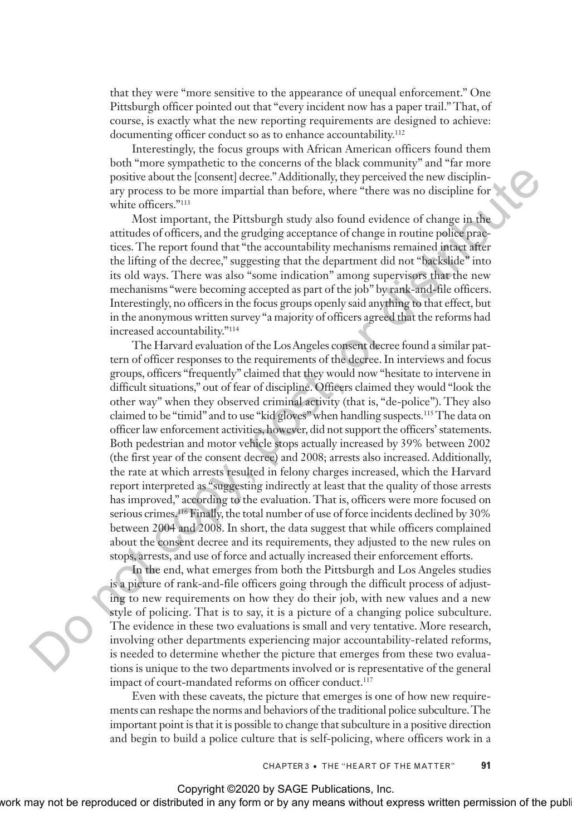that they were "more sensitive to the appearance of unequal enforcement." One Pittsburgh officer pointed out that "every incident now has a paper trail." That, of course, is exactly what the new reporting requirements are designed to achieve: documenting officer conduct so as to enhance accountability.<sup>112</sup>

Interestingly, the focus groups with African American officers found them both "more sympathetic to the concerns of the black community" and "far more positive about the [consent] decree." Additionally, they perceived the new disciplinary process to be more impartial than before, where "there was no discipline for white officers."<sup>113</sup>

Most important, the Pittsburgh study also found evidence of change in the attitudes of officers, and the grudging acceptance of change in routine police practices. The report found that "the accountability mechanisms remained intact after the lifting of the decree," suggesting that the department did not "backslide" into its old ways. There was also "some indication" among supervisors that the new mechanisms "were becoming accepted as part of the job" by rank-and-file officers. Interestingly, no officers in the focus groups openly said anything to that effect, but in the anonymous written survey "a majority of officers agreed that the reforms had increased accountability."114

The Harvard evaluation of the Los Angeles consent decree found a similar pattern of officer responses to the requirements of the decree. In interviews and focus groups, officers "frequently" claimed that they would now "hesitate to intervene in difficult situations," out of fear of discipline. Officers claimed they would "look the other way" when they observed criminal activity (that is, "de-police"). They also claimed to be "timid" and to use "kid gloves" when handling suspects.115 The data on officer law enforcement activities, however, did not support the officers' statements. Both pedestrian and motor vehicle stops actually increased by 39% between 2002 (the first year of the consent decree) and 2008; arrests also increased. Additionally, the rate at which arrests resulted in felony charges increased, which the Harvard report interpreted as "suggesting indirectly at least that the quality of those arrests has improved," according to the evaluation. That is, officers were more focused on serious crimes.<sup>116</sup> Finally, the total number of use of force incidents declined by 30% between 2004 and 2008. In short, the data suggest that while officers complained about the consent decree and its requirements, they adjusted to the new rules on stops, arrests, and use of force and actually increased their enforcement efforts. positive about the fromstrol decrees? Additionally, they perceived the new description of the measurements of the measurements of the Meridian for the Meridian for the Meridian for the Meridian for the Meridian for the Me

In the end, what emerges from both the Pittsburgh and Los Angeles studies is a picture of rank-and-file officers going through the difficult process of adjusting to new requirements on how they do their job, with new values and a new style of policing. That is to say, it is a picture of a changing police subculture. The evidence in these two evaluations is small and very tentative. More research, involving other departments experiencing major accountability-related reforms, is needed to determine whether the picture that emerges from these two evaluations is unique to the two departments involved or is representative of the general impact of court-mandated reforms on officer conduct.<sup>117</sup>

Even with these caveats, the picture that emerges is one of how new requirements can reshape the norms and behaviors of the traditional police subculture. The important point is that it is possible to change that subculture in a positive direction and begin to build a police culture that is self-policing, where officers work in a

CHAPTER 3 • THE "HEART OF THE MATTER" **91**

Copyright ©2020 by SAGE Publications, Inc.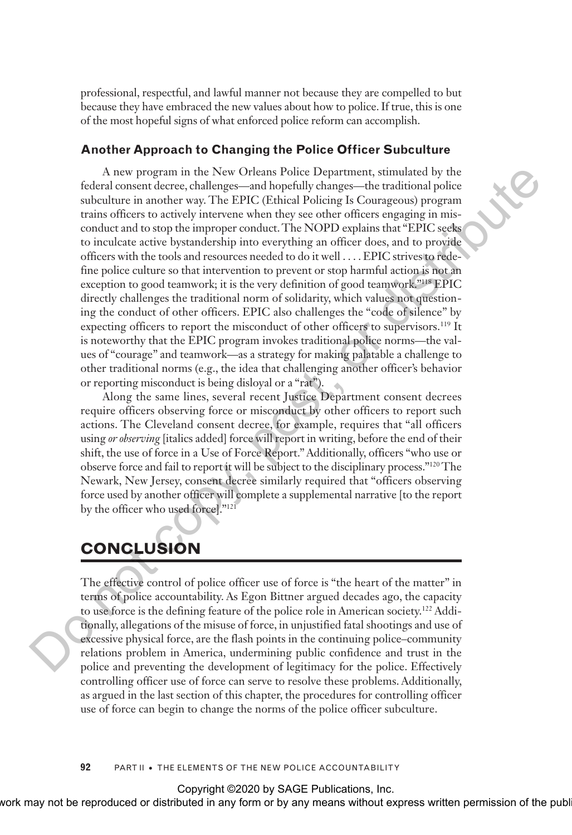professional, respectful, and lawful manner not because they are compelled to but because they have embraced the new values about how to police. If true, this is one of the most hopeful signs of what enforced police reform can accomplish.

### **Another Approach to Changing the Police Officer Subculture**

A new program in the New Orleans Police Department, stimulated by the federal consent decree, challenges—and hopefully changes—the traditional police subculture in another way. The EPIC (Ethical Policing Is Courageous) program trains officers to actively intervene when they see other officers engaging in misconduct and to stop the improper conduct. The NOPD explains that "EPIC seeks to inculcate active bystandership into everything an officer does, and to provide officers with the tools and resources needed to do it well . . . . EPIC strives to redefine police culture so that intervention to prevent or stop harmful action is not an exception to good teamwork; it is the very definition of good teamwork."118 EPIC directly challenges the traditional norm of solidarity, which values not questioning the conduct of other officers. EPIC also challenges the "code of silence" by expecting officers to report the misconduct of other officers to supervisors.<sup>119</sup> It is noteworthy that the EPIC program invokes traditional police norms—the values of "courage" and teamwork—as a strategy for making palatable a challenge to other traditional norms (e.g., the idea that challenging another officer's behavior or reporting misconduct is being disloyal or a "rat"). A new program in the New Orleans Poite Department, simulated by the scheck positive since the and<br>the scheck poies and hopefully changes—the traditional police subcome<br>subcome and to some the secondary. The FPIC (Fieling

Along the same lines, several recent Justice Department consent decrees require officers observing force or misconduct by other officers to report such actions. The Cleveland consent decree, for example, requires that "all officers using *or observing* [italics added] force will report in writing, before the end of their shift, the use of force in a Use of Force Report." Additionally, officers "who use or observe force and fail to report it will be subject to the disciplinary process."120 The Newark, New Jersey, consent decree similarly required that "officers observing force used by another officer will complete a supplemental narrative [to the report by the officer who used force]."121

# **CONCLUSION**

The effective control of police officer use of force is "the heart of the matter" in terms of police accountability. As Egon Bittner argued decades ago, the capacity to use force is the defining feature of the police role in American society.122 Additionally, allegations of the misuse of force, in unjustified fatal shootings and use of excessive physical force, are the flash points in the continuing police–community relations problem in America, undermining public confidence and trust in the police and preventing the development of legitimacy for the police. Effectively controlling officer use of force can serve to resolve these problems. Additionally, as argued in the last section of this chapter, the procedures for controlling officer use of force can begin to change the norms of the police officer subculture.

**92** PART II • THE ELEMENTS OF THE NEW POLICE ACCOUNTABILITY

Copyright ©2020 by SAGE Publications, Inc.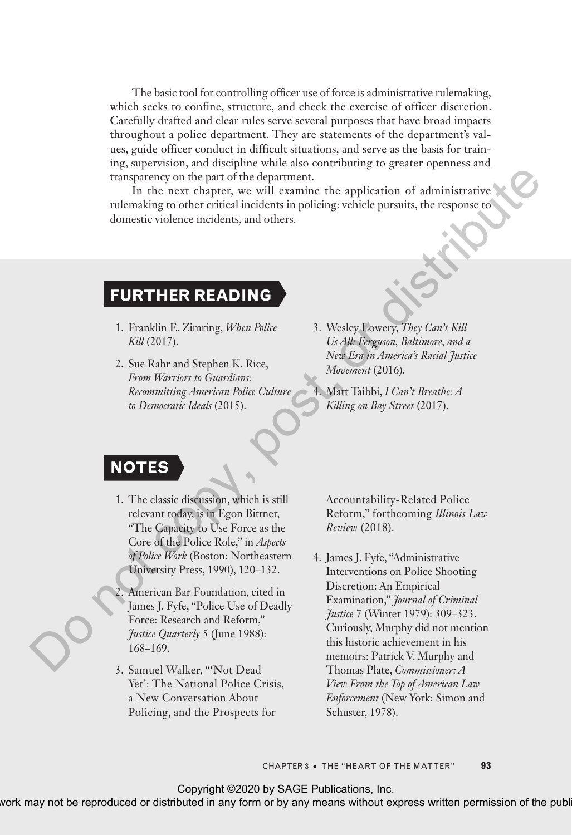The basic tool for controlling officer use of force is administrative rulemaking, which seeks to confine, structure, and check the exercise of officer discretion. Carefully drafted and clear rules serve several purposes that have broad impacts throughout a police department. They are statements of the department's values, guide officer conduct in difficult situations, and serve as the basis for training, supervision, and discipline while also contributing to greater openness and transparency on the part of the department.

In the next chapter, we will examine the application of administrative rulemaking to other critical incidents in policing: vehicle pursuits, the response to domestic violence incidents, and others.

# **FURTHER READING**

- 1. Franklin E. Zimring, *When Police Kill* (2017).
- 2. Sue Rahr and Stephen K. Rice, *From Warriors to Guardians: Recommitting American Police Culture to Democratic Ideals* (2015).
- 3. Wesley Lowery, *They Can't Kill Us All: Ferguson, Baltimore, and a New Era in America's Racial Justice Movement* (2016).
- 4. Matt Taibbi, *I Can't Breathe: A Killing on Bay Street* (2017).

# **NOTES**

- 1. The classic discussion, which is still relevant today, is in Egon Bittner, "The Capacity to Use Force as the Core of the Police Role," in *Aspects of Police Work* (Boston: Northeastern University Press, 1990), 120–132.
- American Bar Foundation, cited in James J. Fyfe, "Police Use of Deadly Force: Research and Reform," *Justice Quarterly* 5 (June 1988): 168–169.
- 3. Samuel Walker, "'Not Dead Yet': The National Police Crisis, a New Conversation About Policing, and the Prospects for

Accountability-Related Police Reform," forthcoming *Illinois Law Review* (2018).

4. James J. Fyfe, "Administrative Interventions on Police Shooting Discretion: An Empirical Examination," *Journal of Criminal Justice* 7 (Winter 1979): 309–323. Curiously, Murphy did not mention this historic achievement in his memoirs: Patrick V. Murphy and Thomas Plate, *Commissioner: A View From the Top of American Law Enforcement* (New York: Simon and Schuster, 1978). The Capacity of the department.<br>
The next chapter, we will examine the application of administrative<br>
mlembing to obte critical incidents in policing vehicle pursuits, the response to<br>
domestic violence incidents, and oth

CHAPTER 3 • THE "HEART OF THE MATTER" **93**

Copyright ©2020 by SAGE Publications, Inc.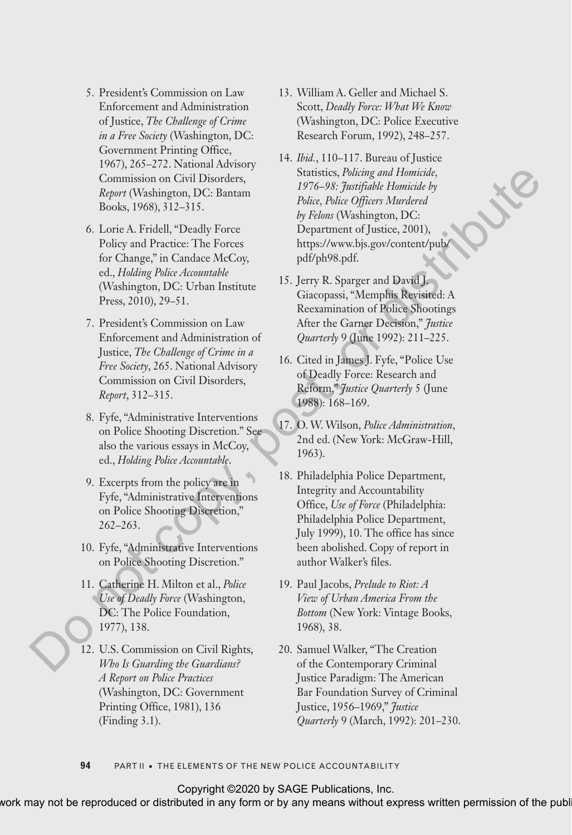- 5. President's Commission on Law Enforcement and Administration of Justice, *The Challenge of Crime in a Free Society* (Washington, DC: Government Printing Office, 1967), 265–272. National Advisory Commission on Civil Disorders, *Report* (Washington, DC: Bantam Books, 1968), 312–315.
- 6. Lorie A. Fridell, "Deadly Force Policy and Practice: The Forces for Change," in Candace McCoy, ed., *Holding Police Accountable* (Washington, DC: Urban Institute Press, 2010), 29–51.
- 7. President's Commission on Law Enforcement and Administration of Justice, *The Challenge of Crime in a Free Society*, 265. National Advisory Commission on Civil Disorders, *Report*, 312–315.
- 8. Fyfe, "Administrative Interventions on Police Shooting Discretion." See also the various essays in McCoy, ed., *Holding Police Accountable*.
- 9. Excerpts from the policy are in Fyfe, "Administrative Interventions on Police Shooting Discretion," 262–263.
- 10. Fyfe, "Administrative Interventions on Police Shooting Discretion."
- 11. Catherine H. Milton et al., *Police Use of Deadly Force* (Washington, DC: The Police Foundation, 1977), 138.
- 12. U.S. Commission on Civil Rights, *Who Is Guarding the Guardians? A Report on Police Practices* (Washington, DC: Government Printing Office, 1981), 136 (Finding 3.1).
- 13. William A. Geller and Michael S. Scott, *Deadly Force: What We Know* (Washington, DC: Police Executive Research Forum, 1992), 248–257.
- 14. *Ibid.*, 110–117. Bureau of Justice Statistics, *Policing and Homicide, 1976–98: Justifiable Homicide by Police, Police Officers Murdered by Felons* (Washington, DC: Department of Justice, 2001), https://www.bjs.gov/content/pub/ pdf/ph98.pdf. Commission on Civil Disorders,<br>
(1976–98; *Factisticals, Policing Schiching Schiching* (1976–98; *Pacifialite Indicals by*<br> *Roger* (Wishington, DC: Bandam Philic, Palis (*Pfilers, Marchard By*<br> *Books, 1968*, 312-315.<br>
	- 15. Jerry R. Sparger and David J. Giacopassi, "Memphis Revisited: A Reexamination of Police Shootings After the Garner Decision," *Justice Quarterly* 9 (June 1992): 211–225.
	- 16. Cited in James J. Fyfe, "Police Use of Deadly Force: Research and Reform," *Justice Quarterly* 5 (June 1988): 168–169.
	- 17. O. W. Wilson, *Police Administration*, 2nd ed. (New York: McGraw-Hill, 1963).
	- 18. Philadelphia Police Department, Integrity and Accountability Office, *Use of Force* (Philadelphia: Philadelphia Police Department, July 1999), 10. The office has since been abolished. Copy of report in author Walker's files.
	- 19. Paul Jacobs, *Prelude to Riot: A View of Urban America From the Bottom* (New York: Vintage Books, 1968), 38.
	- 20. Samuel Walker, "The Creation of the Contemporary Criminal Justice Paradigm: The American Bar Foundation Survey of Criminal Justice, 1956–1969," *Justice Quarterly* 9 (March, 1992): 201–230.

**94** PART II • THE ELEMENTS OF THE NEW POLICE ACCOUNTABILITY

### Copyright ©2020 by SAGE Publications, Inc.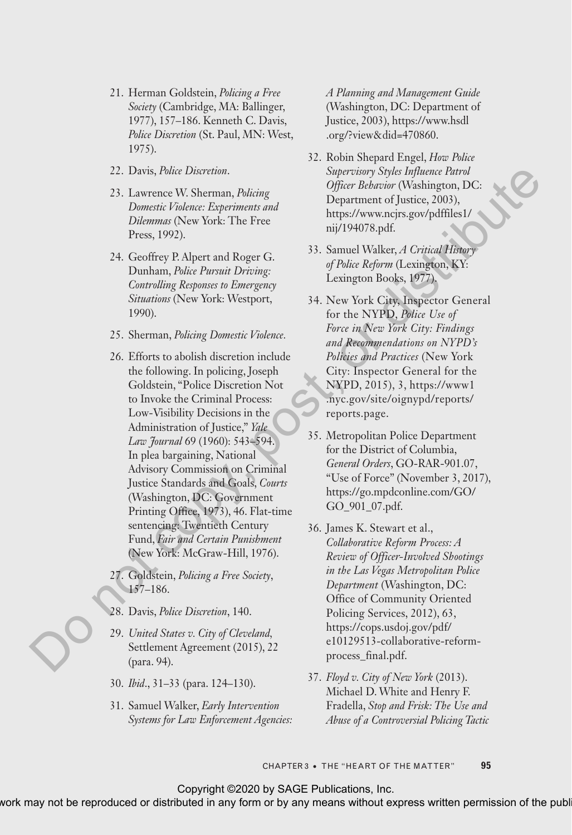- 21. Herman Goldstein, *Policing a Free Society* (Cambridge, MA: Ballinger, 1977), 157–186. Kenneth C. Davis, *Police Discretion* (St. Paul, MN: West, 1975).
- 22. Davis, *Police Discretion*.
- 23. Lawrence W. Sherman, *Policing Domestic Violence: Experiments and Dilemmas* (New York: The Free Press, 1992).
- 24. Geoffrey P. Alpert and Roger G. Dunham, *Police Pursuit Driving: Controlling Responses to Emergency Situations* (New York: Westport, 1990).
- 25. Sherman, *Policing Domestic Violence.*
- 26. Efforts to abolish discretion include the following. In policing, Joseph Goldstein, "Police Discretion Not to Invoke the Criminal Process: Low-Visibility Decisions in the Administration of Justice," *Yale Law Journal* 69 (1960): 543–594. In plea bargaining, National Advisory Commission on Criminal Justice Standards and Goals, *Courts* (Washington, DC: Government Printing Office, 1973), 46. Flat-time sentencing: Twentieth Century Fund, *Fair and Certain Punishment* (New York: McGraw-Hill, 1976). 21. Drivis, Bulie Distributes and Constraints (Spler bullence Reverse)<br>
23. Lawrence W. Sherman, *Philicing* (*Differe Behavior* (Valsington, D.C.<br>
23. Lawrence W. Sherman and Spler Musel, 2003),<br>
24. Cooling Repairs for
	- 27. Goldstein, *Policing a Free Society*, 157–186.
	- 28. Davis, *Police Discretion*, 140.
	- 29. *United States v. City of Cleveland,*  Settlement Agreement (2015), 22 (para. 94).
	- 30. *Ibid*., 31–33 (para. 124–130).
	- 31. Samuel Walker, *Early Intervention Systems for Law Enforcement Agencies:*

*A Planning and Management Guide* (Washington, DC: Department of Justice, 2003), https://www.hsdl .org/?view&did=470860.

- 32. Robin Shepard Engel, *How Police Supervisory Styles Influence Patrol Officer Behavior* (Washington, DC: Department of Justice, 2003), https://www.ncjrs.gov/pdffiles1/ nij/194078.pdf.
- 33. Samuel Walker, *A Critical History of Police Reform* (Lexington, KY: Lexington Books, 1977).
- 34. New York City, Inspector General for the NYPD, *Police Use of Force in New York City: Findings and Recommendations on NYPD's Policies and Practices* (New York City: Inspector General for the NYPD, 2015), 3, https://www1 .nyc.gov/site/oignypd/reports/ reports.page.
- 35. Metropolitan Police Department for the District of Columbia, *General Orders*, GO-RAR-901.07, "Use of Force" (November 3, 2017), https://go.mpdconline.com/GO/ GO\_901\_07.pdf.
- 36. James K. Stewart et al., *Collaborative Reform Process: A Review of Officer-Involved Shootings in the Las Vegas Metropolitan Police Department* (Washington, DC: Office of Community Oriented Policing Services, 2012), 63, https://cops.usdoj.gov/pdf/ e10129513-collaborative-reformprocess\_final.pdf.
- 37. *Floyd v. City of New York* (2013). Michael D. White and Henry F. Fradella, *Stop and Frisk: The Use and Abuse of a Controversial Policing Tactic*

CHAPTER 3 • THE "HEART OF THE MATTER" **95**

Copyright ©2020 by SAGE Publications, Inc.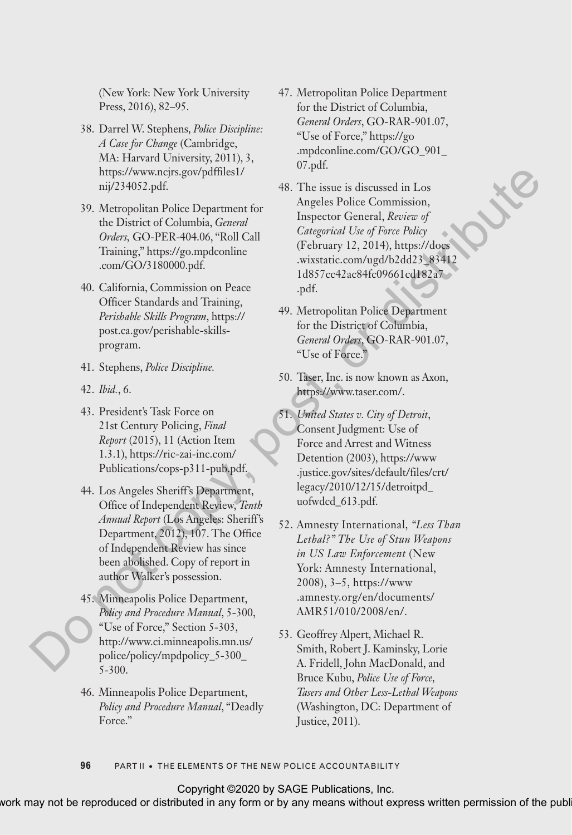(New York: New York University Press, 2016), 82–95.

- 38. Darrel W. Stephens, *Police Discipline: A Case for Change* (Cambridge, MA: Harvard University, 2011), 3, https://www.ncjrs.gov/pdffiles1/ nij/234052.pdf.
- 39. Metropolitan Police Department for the District of Columbia, *General Orders,* GO-PER-404.06, "Roll Call Training," https://go.mpdconline .com/GO/3180000.pdf.
- 40. California, Commission on Peace Officer Standards and Training, *Perishable Skills Program*, https:// post.ca.gov/perishable-skillsprogram.
- 41. Stephens, *Police Discipline.*
- 42. *Ibid.*, 6.
- 43. President's Task Force on 21st Century Policing, *Final Report* (2015), 11 (Action Item 1.3.1), https://ric-zai-inc.com/ Publications/cops-p311-pub.pdf.
- 44. Los Angeles Sheriff's Department, Office of Independent Review, *Tenth Annual Report* (Los Angeles: Sheriff's Department, 2012), 107. The Office of Independent Review has since been abolished. Copy of report in author Walker's possession.
- 45. Minneapolis Police Department, *Policy and Procedure Manual*, 5-300, "Use of Force," Section 5-303, http://www.ci.minneapolis.mn.us/ police/policy/mpdpolicy\_5-300\_ 5-300.
- 46. Minneapolis Police Department, *Policy and Procedure Manual*, "Deadly Force."
- 47. Metropolitan Police Department for the District of Columbia, *General Orders*, GO-RAR-901.07, "Use of Force," https://go .mpdconline.com/GO/GO\_901\_ 07.pdf.
- 48. The issue is discussed in Los Angeles Police Commission, Inspector General, *Review of Categorical Use of Force Policy* (February 12, 2014), https://docs .wixstatic.com/ugd/b2dd23\_83412 1d857cc42ac84fc09661cd182a7 .pdf. https://www.tiris.gov/pdffiles.l/<br>
as: The issue is discussed in Los<br>
any 234032.pdf.<br>
26. Netropolition Folice Department for Integretic Columbia, Greener Integretic Columbia, Corresponding Consisting Corresponding ( $G$ )
	- 49. Metropolitan Police Department for the District of Columbia, *General Orders*, GO-RAR-901.07, "Use of Force."
	- 50. Taser, Inc. is now known as Axon, https://www.taser.com/.
	- 51. *United States v. City of Detroit*, Consent Judgment: Use of Force and Arrest and Witness Detention (2003), https://www .justice.gov/sites/default/files/crt/ legacy/2010/12/15/detroitpd\_ uofwdcd\_613.pdf.
	- 52. Amnesty International, *"Less Than Lethal?" The Use of Stun Weapons in US Law Enforcement* (New York: Amnesty International, 2008), 3–5, https://www .amnesty.org/en/documents/ AMR51/010/2008/en/.
	- 53. Geoffrey Alpert, Michael R. Smith, Robert J. Kaminsky, Lorie A. Fridell, John MacDonald, and Bruce Kubu, *Police Use of Force, Tasers and Other Less-Lethal Weapons* (Washington, DC: Department of Justice, 2011).

**96** PART II • THE ELEMENTS OF THE NEW POLICE ACCOUNTABILITY

Copyright ©2020 by SAGE Publications, Inc.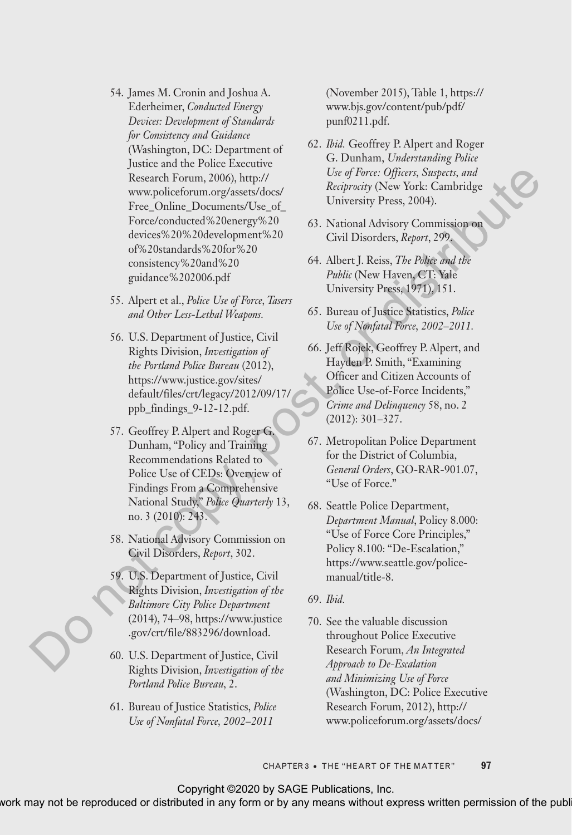- 54. James M. Cronin and Joshua A. Ederheimer, *Conducted Energy Devices: Development of Standards for Consistency and Guidance* (Washington, DC: Department of Justice and the Police Executive Research Forum, 2006), http:// www.policeforum.org/assets/docs/ Free\_Online\_Documents/Use\_of\_ Force/conducted%20energy%20 devices%20%20development%20 of%20standards%20for%20 consistency%20and%20 guidance%202006.pdf Research Form., 2000, https://formet.org/2000, http://formet.org/2000, https://formet.org/2000, https://formet.org/2000, https://formet.org/2000, https://formet.org/2000, https://formet.org/2000, https://formet.org/2000,
	- 55. Alpert et al., *Police Use of Force, Tasers and Other Less-Lethal Weapons.*
	- 56. U.S. Department of Justice, Civil Rights Division, *Investigation of the Portland Police Bureau* (2012), https://www.justice.gov/sites/ default/files/crt/legacy/2012/09/17/ ppb\_findings\_9-12-12.pdf.
	- 57. Geoffrey P. Alpert and Roger G. Dunham, "Policy and Training Recommendations Related to Police Use of CEDs: Overview of Findings From a Comprehensive National Study," *Police Quarterly* 13, no. 3 (2010): 243.
	- 58. National Advisory Commission on Civil Disorders, *Report*, 302.
	- 59. U.S. Department of Justice, Civil Rights Division, *Investigation of the Baltimore City Police Department* (2014), 74–98, https://www.justice .gov/crt/file/883296/download.
	- 60. U.S. Department of Justice, Civil Rights Division, *Investigation of the Portland Police Bureau,* 2.
	- 61. Bureau of Justice Statistics, *Police Use of Nonfatal Force, 2002–2011*

(November 2015), Table 1, https:// www.bjs.gov/content/pub/pdf/ punf0211.pdf.

- 62. *Ibid.* Geoffrey P. Alpert and Roger G. Dunham, *Understanding Police Use of Force: Officers, Suspects, and Reciprocity* (New York: Cambridge University Press, 2004).
- 63. National Advisory Commission on Civil Disorders, *Report*, 299.
- 64. Albert J. Reiss, *The Police and the Public* (New Haven, CT: Yale University Press, 1971), 151.
- 65. Bureau of Justice Statistics, *Police Use of Nonfatal Force, 2002–2011.*
- 66. Jeff Rojek, Geoffrey P. Alpert, and Hayden P. Smith, "Examining Officer and Citizen Accounts of Police Use-of-Force Incidents," *Crime and Delinquency* 58, no. 2 (2012): 301–327.
- 67. Metropolitan Police Department for the District of Columbia, *General Orders*, GO-RAR-901.07, "Use of Force."
- 68. Seattle Police Department, *Department Manual*, Policy 8.000: "Use of Force Core Principles," Policy 8.100: "De-Escalation," https://www.seattle.gov/policemanual/title-8.
- 69. *Ibid.*
- 70. See the valuable discussion throughout Police Executive Research Forum, *An Integrated Approach to De-Escalation and Minimizing Use of Force*  (Washington, DC: Police Executive Research Forum, 2012), http:// www.policeforum.org/assets/docs/

Copyright ©2020 by SAGE Publications, Inc.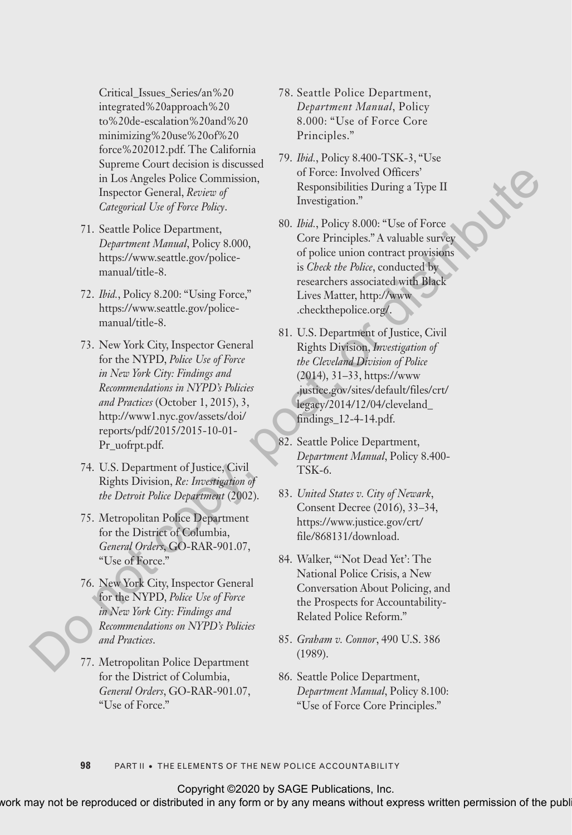Critical\_Issues\_Series/an%20 integrated%20approach%20 to%20de-escalation%20and%20 minimizing%20use%20of%20 force%202012.pdf. The California Supreme Court decision is discussed in Los Angeles Police Commission, Inspector General, *Review of Categorical Use of Force Policy*.

- 71. Seattle Police Department, *Department Manual*, Policy 8.000, https://www.seattle.gov/policemanual/title-8.
- 72. *Ibid.*, Policy 8.200: "Using Force," https://www.seattle.gov/policemanual/title-8.
- 73. New York City, Inspector General for the NYPD, *Police Use of Force in New York City: Findings and Recommendations in NYPD's Policies and Practices* (October 1, 2015), 3, http://www1.nyc.gov/assets/doi/ reports/pdf/2015/2015-10-01- Pr\_uofrpt.pdf. in Los Angeles Police Commission,<br>
In Responsibilities During a Type II<br>
Integration Corresponds the present of Force Investigation."<br>
2. Distribute Department, the May and the Corresponding the Corresponding the Correspo
	- 74. U.S. Department of Justice, Civil Rights Division, *Re: Investigation of the Detroit Police Department* (2002).
	- 75. Metropolitan Police Department for the District of Columbia, *General Orders*, GO-RAR-901.07, "Use of Force."
	- 76. New York City, Inspector General for the NYPD, *Police Use of Force in New York City: Findings and Recommendations on NYPD's Policies and Practices*.
	- 77. Metropolitan Police Department for the District of Columbia, *General Orders*, GO-RAR-901.07, "Use of Force."
- 78. Seattle Police Department, *Department Manual*, Policy 8.000: "Use of Force Core Principles."
- 79. *Ibid.*, Policy 8.400-TSK-3, "Use of Force: Involved Officers' Responsibilities During a Type II Investigation."
- 80. *Ibid.*, Policy 8.000: "Use of Force Core Principles." A valuable survey of police union contract provisions is *Check the Police*, conducted by researchers associated with Black Lives Matter, http://www .checkthepolice.org/.
- 81. U.S. Department of Justice, Civil Rights Division, *Investigation of the Cleveland Division of Police* (2014), 31–33, https://www .justice.gov/sites/default/files/crt/ legacy/2014/12/04/cleveland\_ findings\_12-4-14.pdf.
- 82. Seattle Police Department, *Department Manual*, Policy 8.400- TSK-6.
- 83. *United States v. City of Newark*, Consent Decree (2016), 33–34, https://www.justice.gov/crt/ file/868131/download.
- 84. Walker, "'Not Dead Yet': The National Police Crisis, a New Conversation About Policing, and the Prospects for Accountability-Related Police Reform."
- 85. *Graham v. Connor*, 490 U.S. 386 (1989).
- 86. Seattle Police Department, *Department Manual*, Policy 8.100: "Use of Force Core Principles."

**98** PART II • THE ELEMENTS OF THE NEW POLICE ACCOUNTABILITY

Copyright ©2020 by SAGE Publications, Inc.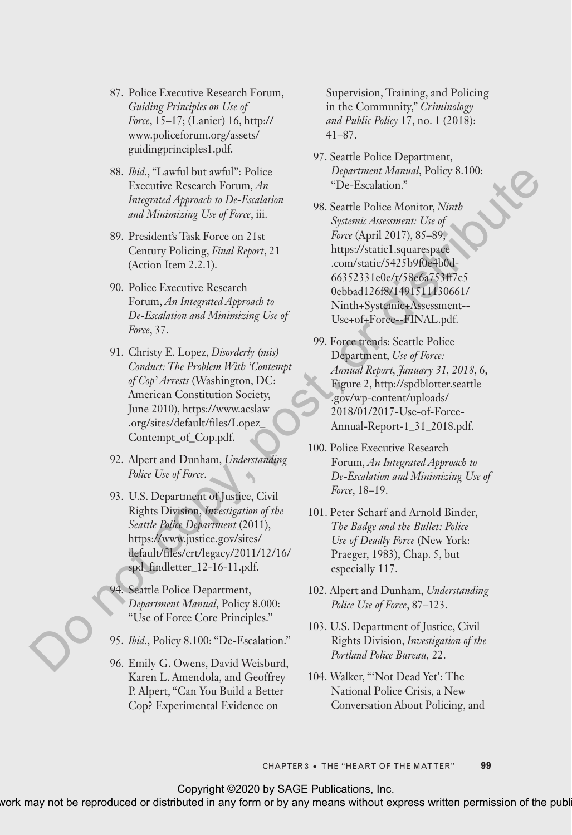- 87. Police Executive Research Forum, *Guiding Principles on Use of Force*, 15–17; (Lanier) 16, http:// www.policeforum.org/assets/ guidingprinciples1.pdf.
- 88. *Ibid.*, "Lawful but awful": Police Executive Research Forum, *An Integrated Approach to De-Escalation and Minimizing Use of Force*, iii.
- 89. President's Task Force on 21st Century Policing, *Final Report*, 21 (Action Item 2.2.1).
- 90. Police Executive Research Forum, *An Integrated Approach to De-Escalation and Minimizing Use of Force*, 37.
- 91. Christy E. Lopez, *Disorderly (mis) Conduct: The Problem With 'Contempt of Cop' Arrests* (Washington, DC: American Constitution Society, June 2010), https://www.acslaw .org/sites/default/files/Lopez\_ Contempt\_of\_Cop.pdf.
- 92. Alpert and Dunham, *Understanding Police Use of Force*.
- 93. U.S. Department of Justice, Civil Rights Division, *Investigation of the Seattle Police Department* (2011), https://www.justice.gov/sites/ default/files/crt/legacy/2011/12/16/ spd\_findletter\_12-16-11.pdf.
- 94. Seattle Police Department, *Department Manual*, Policy 8.000: "Use of Force Core Principles."
- 95. *Ibid.*, Policy 8.100: "De-Escalation."
- 96. Emily G. Owens, David Weisburd, Karen L. Amendola, and Geoffrey P. Alpert, "Can You Build a Better Cop? Experimental Evidence on

Supervision, Training, and Policing in the Community," *Criminology and Public Policy* 17, no. 1 (2018): 41–87.

- 97. Seattle Police Department, *Department Manual*, Policy 8.100: "De-Escalation."
- 98. Seattle Police Monitor, *Ninth Systemic Assessment: Use of Force* (April 2017), 85–89, https://static1.squarespace .com/static/5425b9f0e4b0d-66352331e0e/t/58e6a753ff7c5 0ebbad126f8/1491511130661/ Ninth+Systemic+Assessment-- Use+of+Force--FINAL.pdf. **SB.** Biol, "Hawful but awful? Police Department, Policy 8.100:<br>
Freemrice Research Forum, Am<br>
Integrated Appears on De-Excelation 2<br>
Integrated Appears on De-Excelation 2<br>
and Minimizary Ute of Fores, iii.<br>  $\frac{1}{2}$  SP.
	- 99. Force trends: Seattle Police Department, *Use of Force: Annual Report, January 31, 2018*, 6, Figure 2, http://spdblotter.seattle .gov/wp-content/uploads/ 2018/01/2017-Use-of-Force-Annual-Report-1\_31\_2018.pdf.
	- 100. Police Executive Research Forum, *An Integrated Approach to De-Escalation and Minimizing Use of Force*, 18–19.
	- 101. Peter Scharf and Arnold Binder, *The Badge and the Bullet: Police Use of Deadly Force* (New York: Praeger, 1983), Chap. 5, but especially 117.
	- 102. Alpert and Dunham, *Understanding Police Use of Force*, 87–123.
	- 103. U.S. Department of Justice, Civil Rights Division, *Investigation of the Portland Police Bureau,* 22.
	- 104. Walker, "'Not Dead Yet': The National Police Crisis, a New Conversation About Policing, and

CHAPTER 3 • THE "HEART OF THE MATTER" **99**

Copyright ©2020 by SAGE Publications, Inc.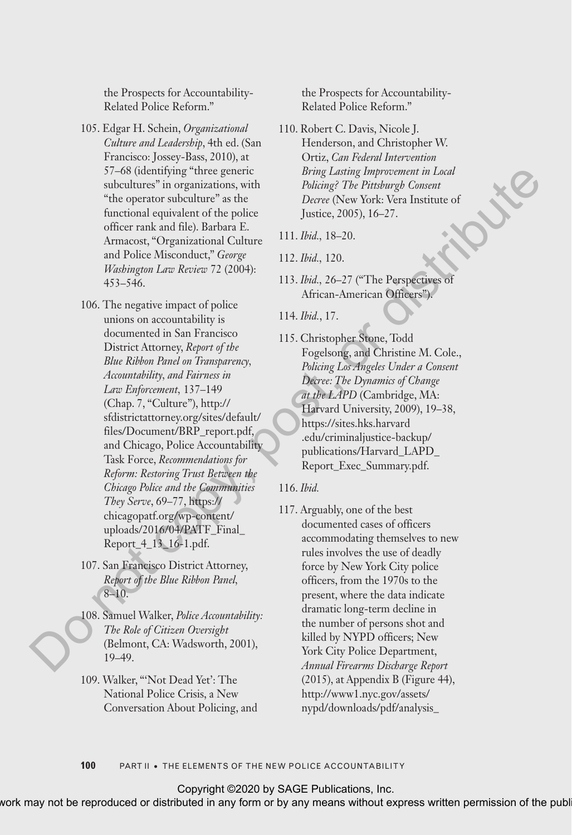the Prospects for Accountability-Related Police Reform."

- 105. Edgar H. Schein, *Organizational Culture and Leadership*, 4th ed. (San Francisco: Jossey-Bass, 2010), at 57–68 (identifying "three generic subcultures" in organizations, with "the operator subculture" as the functional equivalent of the police officer rank and file). Barbara E. Armacost, "Organizational Culture and Police Misconduct," *George Washington Law Review* 72 (2004): 453–546.
- 106. The negative impact of police unions on accountability is documented in San Francisco District Attorney, *Report of the Blue Ribbon Panel on Transparency, Accountability, and Fairness in Law Enforcement,* 137–149 (Chap. 7, "Culture"), http:// sfdistrictattorney.org/sites/default/ files/Document/BRP\_report.pdf, and Chicago, Police Accountability Task Force, *Recommendations for Reform: Restoring Trust Between the Chicago Police and the Communities They Serve*, 69–77, https:// chicagopatf.org/wp-content/ uploads/2016/04/PATF\_Final\_ Report\_4\_13\_16-1.pdf. 57—66 (denoting there generic main Local Schemes that Local Schemes the presence of subscriptions (Note York Vock Versic New York Versic New York Versic New York Versic New York Versic New York Versic New York Versic New
	- 107. San Francisco District Attorney, *Report of the Blue Ribbon Panel,*   $8-10.$
	- 108. Samuel Walker, *Police Accountability: The Role of Citizen Oversight* (Belmont, CA: Wadsworth, 2001), 19–49.
	- 109. Walker, "'Not Dead Yet': The National Police Crisis, a New Conversation About Policing, and

the Prospects for Accountability-Related Police Reform."

- 110. Robert C. Davis, Nicole J. Henderson, and Christopher W. Ortiz, *Can Federal Intervention Bring Lasting Improvement in Local Policing? The Pittsburgh Consent Decree* (New York: Vera Institute of Justice, 2005), 16–27.
- 111. *Ibid.,* 18–20.
- 112. *Ibid.,* 120.
- 113. *Ibid.,* 26–27 ("The Perspectives of African-American Officers").
- 114. *Ibid.*, 17.
- 115. Christopher Stone, Todd Fogelsong, and Christine M. Cole., *Policing Los Angeles Under a Consent Decree: The Dynamics of Change at the LAPD* (Cambridge, MA: Harvard University, 2009), 19–38, https://sites.hks.harvard .edu/criminaljustice-backup/ publications/Harvard\_LAPD\_ Report\_Exec\_Summary.pdf.
- 116. *Ibid.*
- 117. Arguably, one of the best documented cases of officers accommodating themselves to new rules involves the use of deadly force by New York City police officers, from the 1970s to the present, where the data indicate dramatic long-term decline in the number of persons shot and killed by NYPD officers; New York City Police Department, *Annual Firearms Discharge Report* (2015), at Appendix B (Figure 44), http://www1.nyc.gov/assets/ nypd/downloads/pdf/analysis\_

**100** PART II • THE ELEMENTS OF THE NEW POLICE ACCOUNTABILITY

Copyright ©2020 by SAGE Publications, Inc.